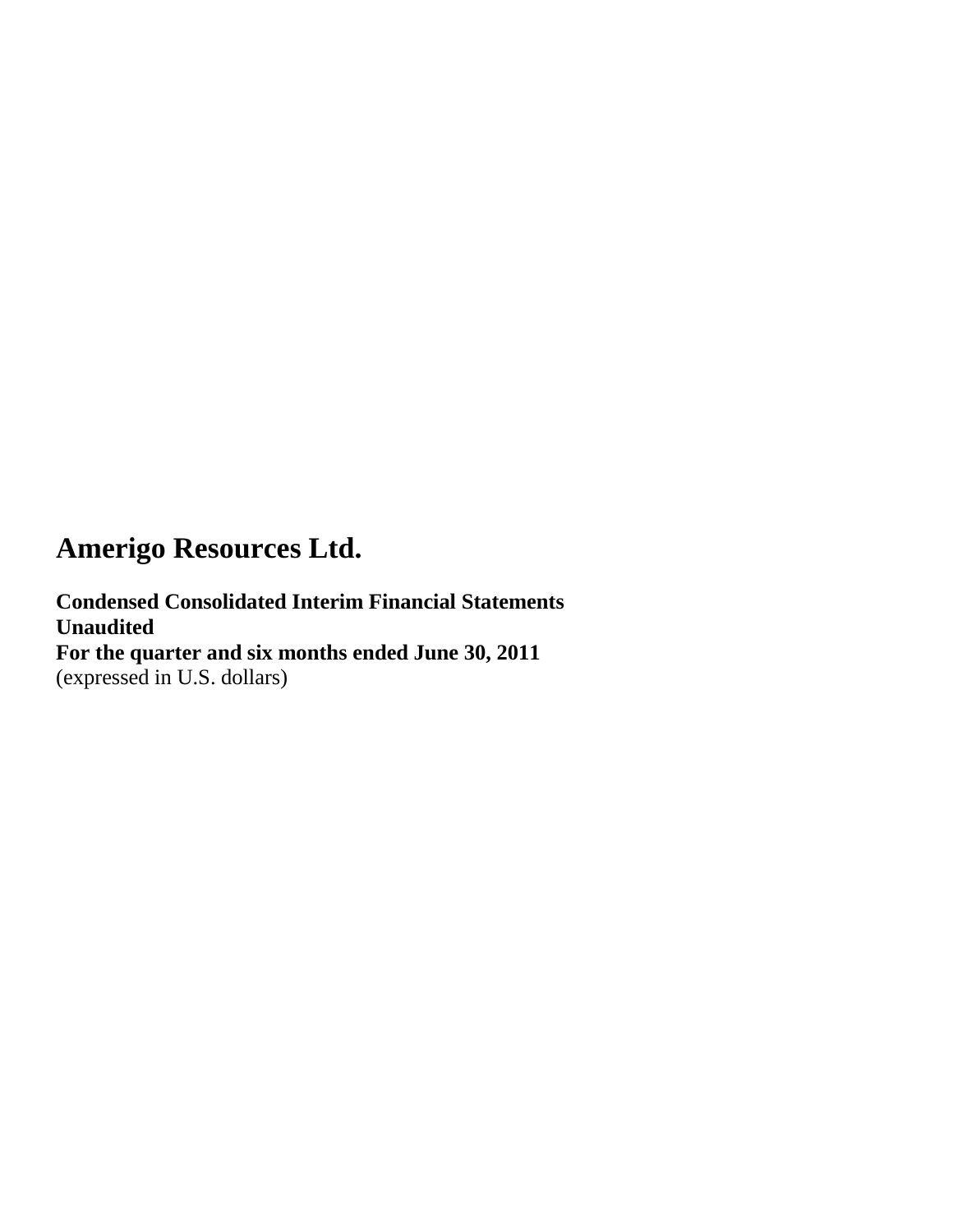**Condensed Consolidated Interim Financial Statements Unaudited For the quarter and six months ended June 30, 2011** (expressed in U.S. dollars)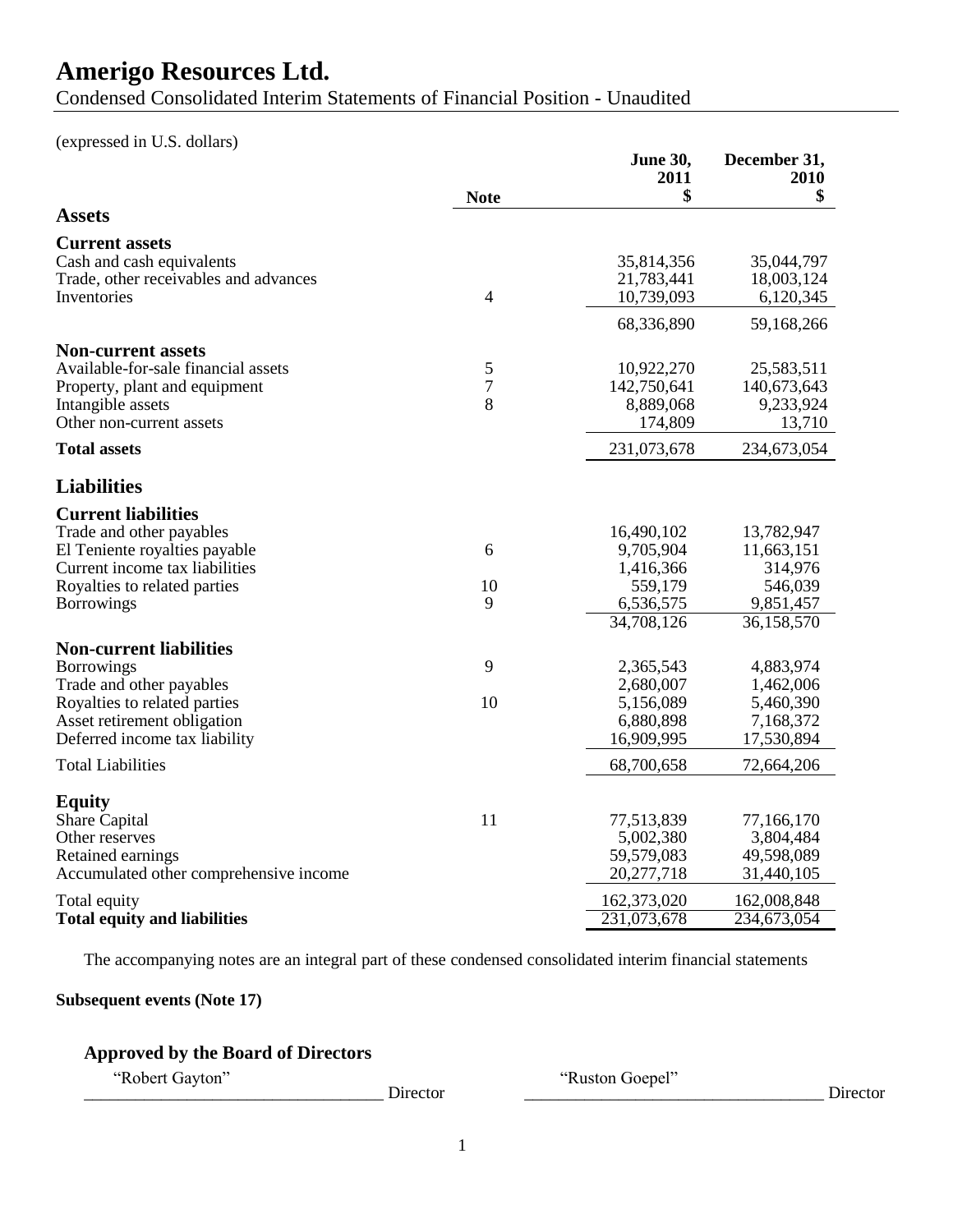Condensed Consolidated Interim Statements of Financial Position - Unaudited

(expressed in U.S. dollars)

|                                                                    | <b>Note</b>    | <b>June 30,</b><br>2011<br>\$ | December 31,<br>2010<br>\$ |
|--------------------------------------------------------------------|----------------|-------------------------------|----------------------------|
| <b>Assets</b>                                                      |                |                               |                            |
| <b>Current assets</b>                                              |                |                               |                            |
| Cash and cash equivalents<br>Trade, other receivables and advances |                | 35,814,356<br>21,783,441      | 35,044,797<br>18,003,124   |
| Inventories                                                        | $\overline{4}$ | 10,739,093                    | 6,120,345                  |
|                                                                    |                | 68,336,890                    | 59,168,266                 |
| <b>Non-current assets</b>                                          |                |                               |                            |
| Available-for-sale financial assets                                | 5              | 10,922,270                    | 25,583,511                 |
| Property, plant and equipment                                      | $\overline{7}$ | 142,750,641                   | 140,673,643                |
| Intangible assets                                                  | 8              | 8,889,068                     | 9,233,924                  |
| Other non-current assets                                           |                | 174,809                       | 13,710                     |
| <b>Total assets</b>                                                |                | 231,073,678                   | 234,673,054                |
| <b>Liabilities</b>                                                 |                |                               |                            |
| <b>Current liabilities</b>                                         |                |                               |                            |
| Trade and other payables                                           |                | 16,490,102                    | 13,782,947                 |
| El Teniente royalties payable                                      | 6              | 9,705,904                     | 11,663,151                 |
| Current income tax liabilities                                     |                | 1,416,366                     | 314,976                    |
| Royalties to related parties                                       | 10             | 559,179                       | 546,039                    |
| <b>Borrowings</b>                                                  | 9              | 6,536,575                     | 9,851,457                  |
|                                                                    |                | 34,708,126                    | 36,158,570                 |
| <b>Non-current liabilities</b>                                     |                |                               |                            |
| <b>Borrowings</b>                                                  | 9              | 2,365,543                     | 4,883,974                  |
| Trade and other payables                                           |                | 2,680,007                     | 1,462,006                  |
| Royalties to related parties                                       | 10             | 5,156,089                     | 5,460,390                  |
| Asset retirement obligation                                        |                | 6,880,898                     | 7,168,372                  |
| Deferred income tax liability                                      |                | 16,909,995                    | 17,530,894                 |
| <b>Total Liabilities</b>                                           |                | 68,700,658                    | 72,664,206                 |
| <b>Equity</b>                                                      |                |                               |                            |
| Share Capital                                                      | 11             | 77,513,839                    | 77,166,170                 |
| Other reserves                                                     |                | 5,002,380                     | 3,804,484                  |
| Retained earnings                                                  |                | 59,579,083                    | 49,598,089                 |
| Accumulated other comprehensive income                             |                | 20,277,718                    | 31,440,105                 |
| Total equity                                                       |                | 162,373,020                   | 162,008,848                |
| <b>Total equity and liabilities</b>                                |                | 231,073,678                   | 234,673,054                |

The accompanying notes are an integral part of these condensed consolidated interim financial statements

### **Subsequent events (Note 17)**

### **Approved by the Board of Directors**

\_\_\_\_\_\_\_\_\_\_\_\_\_\_\_\_\_\_\_\_\_\_\_\_\_\_\_\_\_\_\_\_\_\_\_ Director \_\_\_\_\_\_\_\_\_\_\_\_\_\_\_\_\_\_\_\_\_\_\_\_\_\_\_\_\_\_\_\_\_\_\_ Director

―Robert Gayton‖ ―Ruston Goepel‖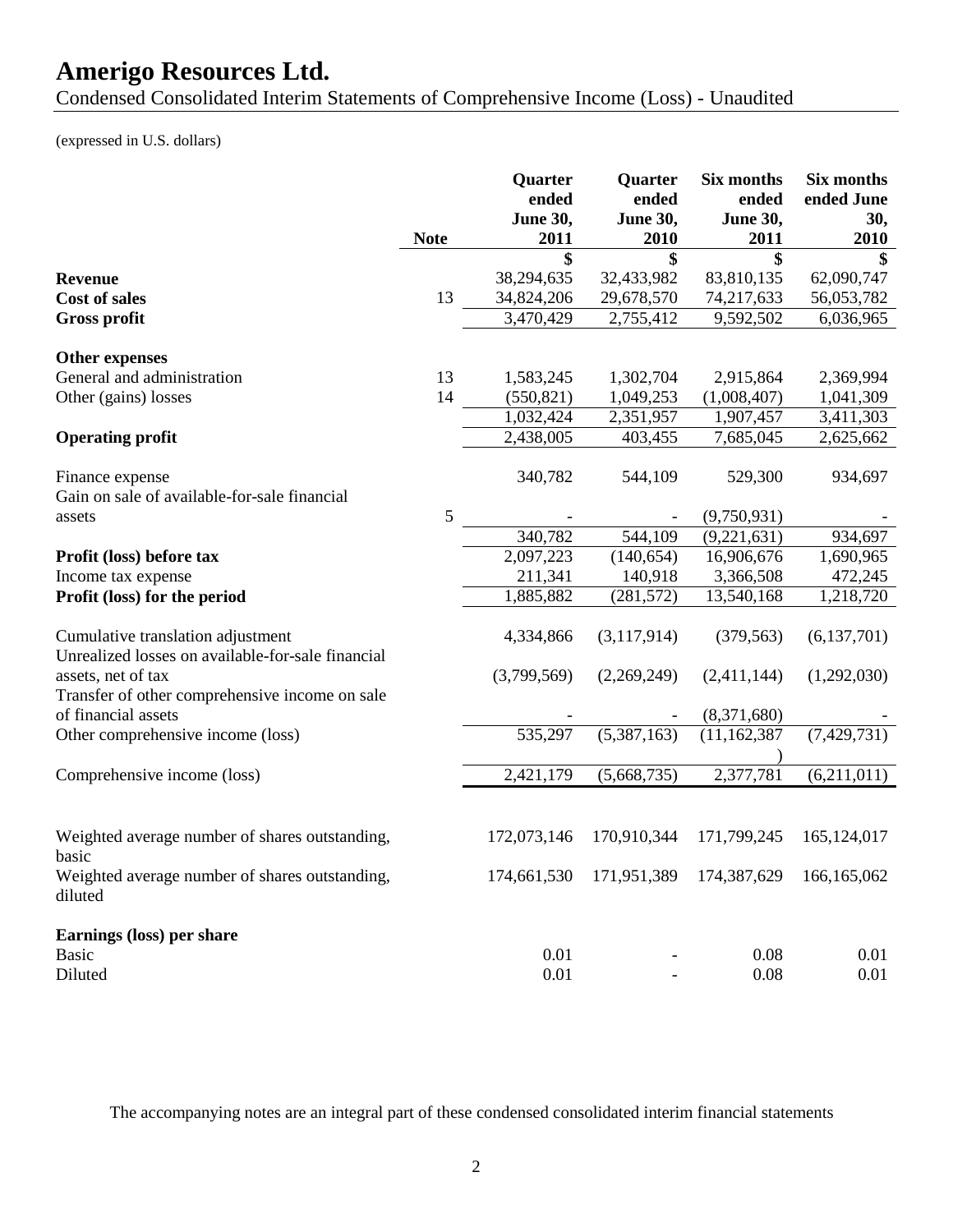Condensed Consolidated Interim Statements of Comprehensive Income (Loss) - Unaudited

(expressed in U.S. dollars)

|                                                                                        | <b>Note</b> | Quarter<br>ended<br>June 30,<br>2011 | Quarter<br>ended<br><b>June 30,</b><br>2010 | Six months<br>ended<br>June 30,<br>2011 | Six months<br>ended June<br>30,<br>2010 |
|----------------------------------------------------------------------------------------|-------------|--------------------------------------|---------------------------------------------|-----------------------------------------|-----------------------------------------|
|                                                                                        |             | \$                                   | \$                                          | \$                                      | \$                                      |
| <b>Revenue</b><br><b>Cost of sales</b>                                                 | 13          | 38,294,635<br>34,824,206             | 32,433,982<br>29,678,570                    | 83,810,135<br>74,217,633                | 62,090,747<br>56,053,782                |
|                                                                                        |             | 3,470,429                            | 2,755,412                                   |                                         |                                         |
| <b>Gross profit</b>                                                                    |             |                                      |                                             | 9,592,502                               | 6,036,965                               |
| <b>Other expenses</b>                                                                  |             |                                      |                                             |                                         |                                         |
| General and administration                                                             | 13          | 1,583,245                            | 1,302,704                                   | 2,915,864                               | 2,369,994                               |
| Other (gains) losses                                                                   | 14          | (550, 821)                           | 1,049,253                                   | (1,008,407)                             | 1,041,309                               |
|                                                                                        |             | 1,032,424                            | 2,351,957                                   | 1,907,457                               | 3,411,303                               |
| <b>Operating profit</b>                                                                |             | 2,438,005                            | 403,455                                     | 7,685,045                               | 2,625,662                               |
| Finance expense<br>Gain on sale of available-for-sale financial                        |             | 340,782                              | 544,109                                     | 529,300                                 | 934,697                                 |
| assets                                                                                 | 5           |                                      |                                             | (9,750,931)                             |                                         |
|                                                                                        |             | 340,782                              | 544,109                                     | (9,221,631)                             | 934,697                                 |
| Profit (loss) before tax                                                               |             | 2,097,223                            | (140, 654)                                  | 16,906,676                              | 1,690,965                               |
| Income tax expense                                                                     |             | 211,341                              | 140,918                                     | 3,366,508                               | 472,245                                 |
| Profit (loss) for the period                                                           |             | 1,885,882                            | (281, 572)                                  | 13,540,168                              | 1,218,720                               |
| Cumulative translation adjustment<br>Unrealized losses on available-for-sale financial |             | 4,334,866                            | (3,117,914)                                 | (379, 563)                              | (6,137,701)                             |
| assets, net of tax                                                                     |             | (3,799,569)                          | (2,269,249)                                 | (2,411,144)                             | (1,292,030)                             |
| Transfer of other comprehensive income on sale<br>of financial assets                  |             |                                      |                                             | (8,371,680)                             |                                         |
| Other comprehensive income (loss)                                                      |             | 535,297                              | (5,387,163)                                 | (11, 162, 387)                          | (7,429,731)                             |
|                                                                                        |             |                                      |                                             |                                         |                                         |
| Comprehensive income (loss)                                                            |             | 2,421,179                            | (5,668,735)                                 | 2,377,781                               | (6,211,011)                             |
|                                                                                        |             |                                      |                                             |                                         |                                         |
| Weighted average number of shares outstanding,<br>basic                                |             | 172,073,146                          | 170,910,344                                 | 171,799,245                             | 165,124,017                             |
| Weighted average number of shares outstanding,<br>diluted                              |             | 174,661,530                          |                                             | 171,951,389 174,387,629                 | 166, 165, 062                           |
| Earnings (loss) per share                                                              |             |                                      |                                             |                                         |                                         |
| <b>Basic</b>                                                                           |             | 0.01                                 |                                             | 0.08                                    | 0.01                                    |
| Diluted                                                                                |             | 0.01                                 |                                             | 0.08                                    | 0.01                                    |

The accompanying notes are an integral part of these condensed consolidated interim financial statements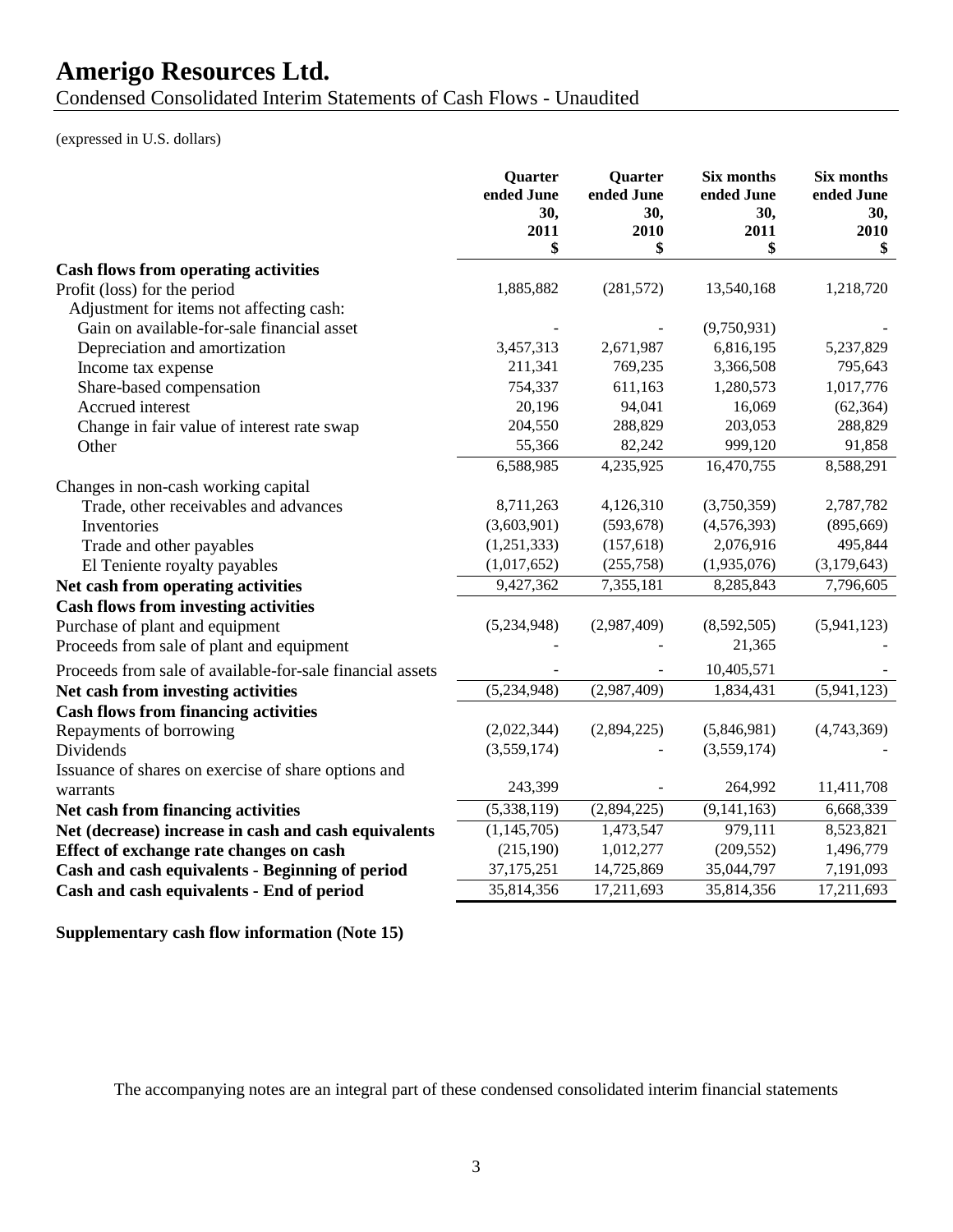Condensed Consolidated Interim Statements of Cash Flows - Unaudited

(expressed in U.S. dollars)

| <b>Cash flows from operating activities</b><br>Profit (loss) for the period<br>1,885,882<br>(281, 572)<br>13,540,168<br>1,218,720<br>Adjustment for items not affecting cash:<br>Gain on available-for-sale financial asset<br>(9,750,931)<br>3,457,313<br>2,671,987<br>6,816,195<br>5,237,829<br>Depreciation and amortization<br>211,341<br>769,235<br>3,366,508<br>795,643<br>Income tax expense<br>Share-based compensation<br>754,337<br>611,163<br>1,017,776<br>1,280,573<br>20,196<br>94,041<br>Accrued interest<br>16,069<br>(62, 364)<br>204,550<br>288,829<br>203,053<br>288,829<br>Change in fair value of interest rate swap<br>55,366<br>82,242<br>999,120<br>Other<br>91,858<br>6,588,985<br>4,235,925<br>16,470,755<br>8,588,291<br>Changes in non-cash working capital<br>8,711,263<br>4,126,310<br>(3,750,359)<br>2,787,782<br>Trade, other receivables and advances<br>(3,603,901)<br>(593, 678)<br>(4,576,393)<br>(895, 669)<br>Inventories<br>Trade and other payables<br>(1,251,333)<br>(157, 618)<br>2,076,916<br>495,844<br>El Teniente royalty payables<br>(1,017,652)<br>(255,758)<br>(1,935,076)<br>(3,179,643)<br>9,427,362<br>7,355,181<br>7,796,605<br>Net cash from operating activities<br>8,285,843<br><b>Cash flows from investing activities</b><br>(5,234,948)<br>(2,987,409)<br>Purchase of plant and equipment<br>(8,592,505)<br>(5,941,123)<br>Proceeds from sale of plant and equipment<br>21,365<br>10,405,571<br>Proceeds from sale of available-for-sale financial assets<br>(5,234,948)<br>(2,987,409)<br>1,834,431<br>(5,941,123)<br>Net cash from investing activities<br><b>Cash flows from financing activities</b><br>Repayments of borrowing<br>(2,022,344)<br>(2,894,225)<br>(5,846,981)<br>(4,743,369)<br>(3,559,174)<br>(3,559,174)<br>Dividends<br>Issuance of shares on exercise of share options and<br>243,399<br>264,992<br>11,411,708<br>warrants<br>(9, 141, 163)<br>(5,338,119)<br>(2,894,225)<br>6,668,339<br>Net cash from financing activities<br>Net (decrease) increase in cash and cash equivalents<br>(1, 145, 705)<br>1,473,547<br>979,111<br>8,523,821<br>(215, 190)<br>1,012,277<br>(209, 552)<br>1,496,779<br>Effect of exchange rate changes on cash<br>37, 175, 251<br>14,725,869<br>35,044,797<br>7,191,093<br>Cash and cash equivalents - Beginning of period<br>35,814,356<br>17,211,693<br>35,814,356<br>17,211,693<br>Cash and cash equivalents - End of period | Quarter<br>ended June<br>30,<br>2011<br>\$ | Quarter<br>ended June<br>30,<br>2010<br>\$ | Six months<br>ended June<br>30,<br>2011<br>\$ | Six months<br>ended June<br>30,<br>2010<br>\$ |
|-----------------------------------------------------------------------------------------------------------------------------------------------------------------------------------------------------------------------------------------------------------------------------------------------------------------------------------------------------------------------------------------------------------------------------------------------------------------------------------------------------------------------------------------------------------------------------------------------------------------------------------------------------------------------------------------------------------------------------------------------------------------------------------------------------------------------------------------------------------------------------------------------------------------------------------------------------------------------------------------------------------------------------------------------------------------------------------------------------------------------------------------------------------------------------------------------------------------------------------------------------------------------------------------------------------------------------------------------------------------------------------------------------------------------------------------------------------------------------------------------------------------------------------------------------------------------------------------------------------------------------------------------------------------------------------------------------------------------------------------------------------------------------------------------------------------------------------------------------------------------------------------------------------------------------------------------------------------------------------------------------------------------------------------------------------------------------------------------------------------------------------------------------------------------------------------------------------------------------------------------------------------------------------------------------------------------------------------------------------------------------------------------------------------------------------------------|--------------------------------------------|--------------------------------------------|-----------------------------------------------|-----------------------------------------------|
|                                                                                                                                                                                                                                                                                                                                                                                                                                                                                                                                                                                                                                                                                                                                                                                                                                                                                                                                                                                                                                                                                                                                                                                                                                                                                                                                                                                                                                                                                                                                                                                                                                                                                                                                                                                                                                                                                                                                                                                                                                                                                                                                                                                                                                                                                                                                                                                                                                               |                                            |                                            |                                               |                                               |
|                                                                                                                                                                                                                                                                                                                                                                                                                                                                                                                                                                                                                                                                                                                                                                                                                                                                                                                                                                                                                                                                                                                                                                                                                                                                                                                                                                                                                                                                                                                                                                                                                                                                                                                                                                                                                                                                                                                                                                                                                                                                                                                                                                                                                                                                                                                                                                                                                                               |                                            |                                            |                                               |                                               |
|                                                                                                                                                                                                                                                                                                                                                                                                                                                                                                                                                                                                                                                                                                                                                                                                                                                                                                                                                                                                                                                                                                                                                                                                                                                                                                                                                                                                                                                                                                                                                                                                                                                                                                                                                                                                                                                                                                                                                                                                                                                                                                                                                                                                                                                                                                                                                                                                                                               |                                            |                                            |                                               |                                               |
|                                                                                                                                                                                                                                                                                                                                                                                                                                                                                                                                                                                                                                                                                                                                                                                                                                                                                                                                                                                                                                                                                                                                                                                                                                                                                                                                                                                                                                                                                                                                                                                                                                                                                                                                                                                                                                                                                                                                                                                                                                                                                                                                                                                                                                                                                                                                                                                                                                               |                                            |                                            |                                               |                                               |
|                                                                                                                                                                                                                                                                                                                                                                                                                                                                                                                                                                                                                                                                                                                                                                                                                                                                                                                                                                                                                                                                                                                                                                                                                                                                                                                                                                                                                                                                                                                                                                                                                                                                                                                                                                                                                                                                                                                                                                                                                                                                                                                                                                                                                                                                                                                                                                                                                                               |                                            |                                            |                                               |                                               |
|                                                                                                                                                                                                                                                                                                                                                                                                                                                                                                                                                                                                                                                                                                                                                                                                                                                                                                                                                                                                                                                                                                                                                                                                                                                                                                                                                                                                                                                                                                                                                                                                                                                                                                                                                                                                                                                                                                                                                                                                                                                                                                                                                                                                                                                                                                                                                                                                                                               |                                            |                                            |                                               |                                               |
|                                                                                                                                                                                                                                                                                                                                                                                                                                                                                                                                                                                                                                                                                                                                                                                                                                                                                                                                                                                                                                                                                                                                                                                                                                                                                                                                                                                                                                                                                                                                                                                                                                                                                                                                                                                                                                                                                                                                                                                                                                                                                                                                                                                                                                                                                                                                                                                                                                               |                                            |                                            |                                               |                                               |
|                                                                                                                                                                                                                                                                                                                                                                                                                                                                                                                                                                                                                                                                                                                                                                                                                                                                                                                                                                                                                                                                                                                                                                                                                                                                                                                                                                                                                                                                                                                                                                                                                                                                                                                                                                                                                                                                                                                                                                                                                                                                                                                                                                                                                                                                                                                                                                                                                                               |                                            |                                            |                                               |                                               |
|                                                                                                                                                                                                                                                                                                                                                                                                                                                                                                                                                                                                                                                                                                                                                                                                                                                                                                                                                                                                                                                                                                                                                                                                                                                                                                                                                                                                                                                                                                                                                                                                                                                                                                                                                                                                                                                                                                                                                                                                                                                                                                                                                                                                                                                                                                                                                                                                                                               |                                            |                                            |                                               |                                               |
|                                                                                                                                                                                                                                                                                                                                                                                                                                                                                                                                                                                                                                                                                                                                                                                                                                                                                                                                                                                                                                                                                                                                                                                                                                                                                                                                                                                                                                                                                                                                                                                                                                                                                                                                                                                                                                                                                                                                                                                                                                                                                                                                                                                                                                                                                                                                                                                                                                               |                                            |                                            |                                               |                                               |
|                                                                                                                                                                                                                                                                                                                                                                                                                                                                                                                                                                                                                                                                                                                                                                                                                                                                                                                                                                                                                                                                                                                                                                                                                                                                                                                                                                                                                                                                                                                                                                                                                                                                                                                                                                                                                                                                                                                                                                                                                                                                                                                                                                                                                                                                                                                                                                                                                                               |                                            |                                            |                                               |                                               |
|                                                                                                                                                                                                                                                                                                                                                                                                                                                                                                                                                                                                                                                                                                                                                                                                                                                                                                                                                                                                                                                                                                                                                                                                                                                                                                                                                                                                                                                                                                                                                                                                                                                                                                                                                                                                                                                                                                                                                                                                                                                                                                                                                                                                                                                                                                                                                                                                                                               |                                            |                                            |                                               |                                               |
|                                                                                                                                                                                                                                                                                                                                                                                                                                                                                                                                                                                                                                                                                                                                                                                                                                                                                                                                                                                                                                                                                                                                                                                                                                                                                                                                                                                                                                                                                                                                                                                                                                                                                                                                                                                                                                                                                                                                                                                                                                                                                                                                                                                                                                                                                                                                                                                                                                               |                                            |                                            |                                               |                                               |
|                                                                                                                                                                                                                                                                                                                                                                                                                                                                                                                                                                                                                                                                                                                                                                                                                                                                                                                                                                                                                                                                                                                                                                                                                                                                                                                                                                                                                                                                                                                                                                                                                                                                                                                                                                                                                                                                                                                                                                                                                                                                                                                                                                                                                                                                                                                                                                                                                                               |                                            |                                            |                                               |                                               |
|                                                                                                                                                                                                                                                                                                                                                                                                                                                                                                                                                                                                                                                                                                                                                                                                                                                                                                                                                                                                                                                                                                                                                                                                                                                                                                                                                                                                                                                                                                                                                                                                                                                                                                                                                                                                                                                                                                                                                                                                                                                                                                                                                                                                                                                                                                                                                                                                                                               |                                            |                                            |                                               |                                               |
|                                                                                                                                                                                                                                                                                                                                                                                                                                                                                                                                                                                                                                                                                                                                                                                                                                                                                                                                                                                                                                                                                                                                                                                                                                                                                                                                                                                                                                                                                                                                                                                                                                                                                                                                                                                                                                                                                                                                                                                                                                                                                                                                                                                                                                                                                                                                                                                                                                               |                                            |                                            |                                               |                                               |
|                                                                                                                                                                                                                                                                                                                                                                                                                                                                                                                                                                                                                                                                                                                                                                                                                                                                                                                                                                                                                                                                                                                                                                                                                                                                                                                                                                                                                                                                                                                                                                                                                                                                                                                                                                                                                                                                                                                                                                                                                                                                                                                                                                                                                                                                                                                                                                                                                                               |                                            |                                            |                                               |                                               |
|                                                                                                                                                                                                                                                                                                                                                                                                                                                                                                                                                                                                                                                                                                                                                                                                                                                                                                                                                                                                                                                                                                                                                                                                                                                                                                                                                                                                                                                                                                                                                                                                                                                                                                                                                                                                                                                                                                                                                                                                                                                                                                                                                                                                                                                                                                                                                                                                                                               |                                            |                                            |                                               |                                               |
|                                                                                                                                                                                                                                                                                                                                                                                                                                                                                                                                                                                                                                                                                                                                                                                                                                                                                                                                                                                                                                                                                                                                                                                                                                                                                                                                                                                                                                                                                                                                                                                                                                                                                                                                                                                                                                                                                                                                                                                                                                                                                                                                                                                                                                                                                                                                                                                                                                               |                                            |                                            |                                               |                                               |
|                                                                                                                                                                                                                                                                                                                                                                                                                                                                                                                                                                                                                                                                                                                                                                                                                                                                                                                                                                                                                                                                                                                                                                                                                                                                                                                                                                                                                                                                                                                                                                                                                                                                                                                                                                                                                                                                                                                                                                                                                                                                                                                                                                                                                                                                                                                                                                                                                                               |                                            |                                            |                                               |                                               |
|                                                                                                                                                                                                                                                                                                                                                                                                                                                                                                                                                                                                                                                                                                                                                                                                                                                                                                                                                                                                                                                                                                                                                                                                                                                                                                                                                                                                                                                                                                                                                                                                                                                                                                                                                                                                                                                                                                                                                                                                                                                                                                                                                                                                                                                                                                                                                                                                                                               |                                            |                                            |                                               |                                               |
|                                                                                                                                                                                                                                                                                                                                                                                                                                                                                                                                                                                                                                                                                                                                                                                                                                                                                                                                                                                                                                                                                                                                                                                                                                                                                                                                                                                                                                                                                                                                                                                                                                                                                                                                                                                                                                                                                                                                                                                                                                                                                                                                                                                                                                                                                                                                                                                                                                               |                                            |                                            |                                               |                                               |
|                                                                                                                                                                                                                                                                                                                                                                                                                                                                                                                                                                                                                                                                                                                                                                                                                                                                                                                                                                                                                                                                                                                                                                                                                                                                                                                                                                                                                                                                                                                                                                                                                                                                                                                                                                                                                                                                                                                                                                                                                                                                                                                                                                                                                                                                                                                                                                                                                                               |                                            |                                            |                                               |                                               |
|                                                                                                                                                                                                                                                                                                                                                                                                                                                                                                                                                                                                                                                                                                                                                                                                                                                                                                                                                                                                                                                                                                                                                                                                                                                                                                                                                                                                                                                                                                                                                                                                                                                                                                                                                                                                                                                                                                                                                                                                                                                                                                                                                                                                                                                                                                                                                                                                                                               |                                            |                                            |                                               |                                               |
|                                                                                                                                                                                                                                                                                                                                                                                                                                                                                                                                                                                                                                                                                                                                                                                                                                                                                                                                                                                                                                                                                                                                                                                                                                                                                                                                                                                                                                                                                                                                                                                                                                                                                                                                                                                                                                                                                                                                                                                                                                                                                                                                                                                                                                                                                                                                                                                                                                               |                                            |                                            |                                               |                                               |
|                                                                                                                                                                                                                                                                                                                                                                                                                                                                                                                                                                                                                                                                                                                                                                                                                                                                                                                                                                                                                                                                                                                                                                                                                                                                                                                                                                                                                                                                                                                                                                                                                                                                                                                                                                                                                                                                                                                                                                                                                                                                                                                                                                                                                                                                                                                                                                                                                                               |                                            |                                            |                                               |                                               |
|                                                                                                                                                                                                                                                                                                                                                                                                                                                                                                                                                                                                                                                                                                                                                                                                                                                                                                                                                                                                                                                                                                                                                                                                                                                                                                                                                                                                                                                                                                                                                                                                                                                                                                                                                                                                                                                                                                                                                                                                                                                                                                                                                                                                                                                                                                                                                                                                                                               |                                            |                                            |                                               |                                               |
|                                                                                                                                                                                                                                                                                                                                                                                                                                                                                                                                                                                                                                                                                                                                                                                                                                                                                                                                                                                                                                                                                                                                                                                                                                                                                                                                                                                                                                                                                                                                                                                                                                                                                                                                                                                                                                                                                                                                                                                                                                                                                                                                                                                                                                                                                                                                                                                                                                               |                                            |                                            |                                               |                                               |
|                                                                                                                                                                                                                                                                                                                                                                                                                                                                                                                                                                                                                                                                                                                                                                                                                                                                                                                                                                                                                                                                                                                                                                                                                                                                                                                                                                                                                                                                                                                                                                                                                                                                                                                                                                                                                                                                                                                                                                                                                                                                                                                                                                                                                                                                                                                                                                                                                                               |                                            |                                            |                                               |                                               |
|                                                                                                                                                                                                                                                                                                                                                                                                                                                                                                                                                                                                                                                                                                                                                                                                                                                                                                                                                                                                                                                                                                                                                                                                                                                                                                                                                                                                                                                                                                                                                                                                                                                                                                                                                                                                                                                                                                                                                                                                                                                                                                                                                                                                                                                                                                                                                                                                                                               |                                            |                                            |                                               |                                               |
|                                                                                                                                                                                                                                                                                                                                                                                                                                                                                                                                                                                                                                                                                                                                                                                                                                                                                                                                                                                                                                                                                                                                                                                                                                                                                                                                                                                                                                                                                                                                                                                                                                                                                                                                                                                                                                                                                                                                                                                                                                                                                                                                                                                                                                                                                                                                                                                                                                               |                                            |                                            |                                               |                                               |
|                                                                                                                                                                                                                                                                                                                                                                                                                                                                                                                                                                                                                                                                                                                                                                                                                                                                                                                                                                                                                                                                                                                                                                                                                                                                                                                                                                                                                                                                                                                                                                                                                                                                                                                                                                                                                                                                                                                                                                                                                                                                                                                                                                                                                                                                                                                                                                                                                                               |                                            |                                            |                                               |                                               |

**Supplementary cash flow information (Note 15)**

The accompanying notes are an integral part of these condensed consolidated interim financial statements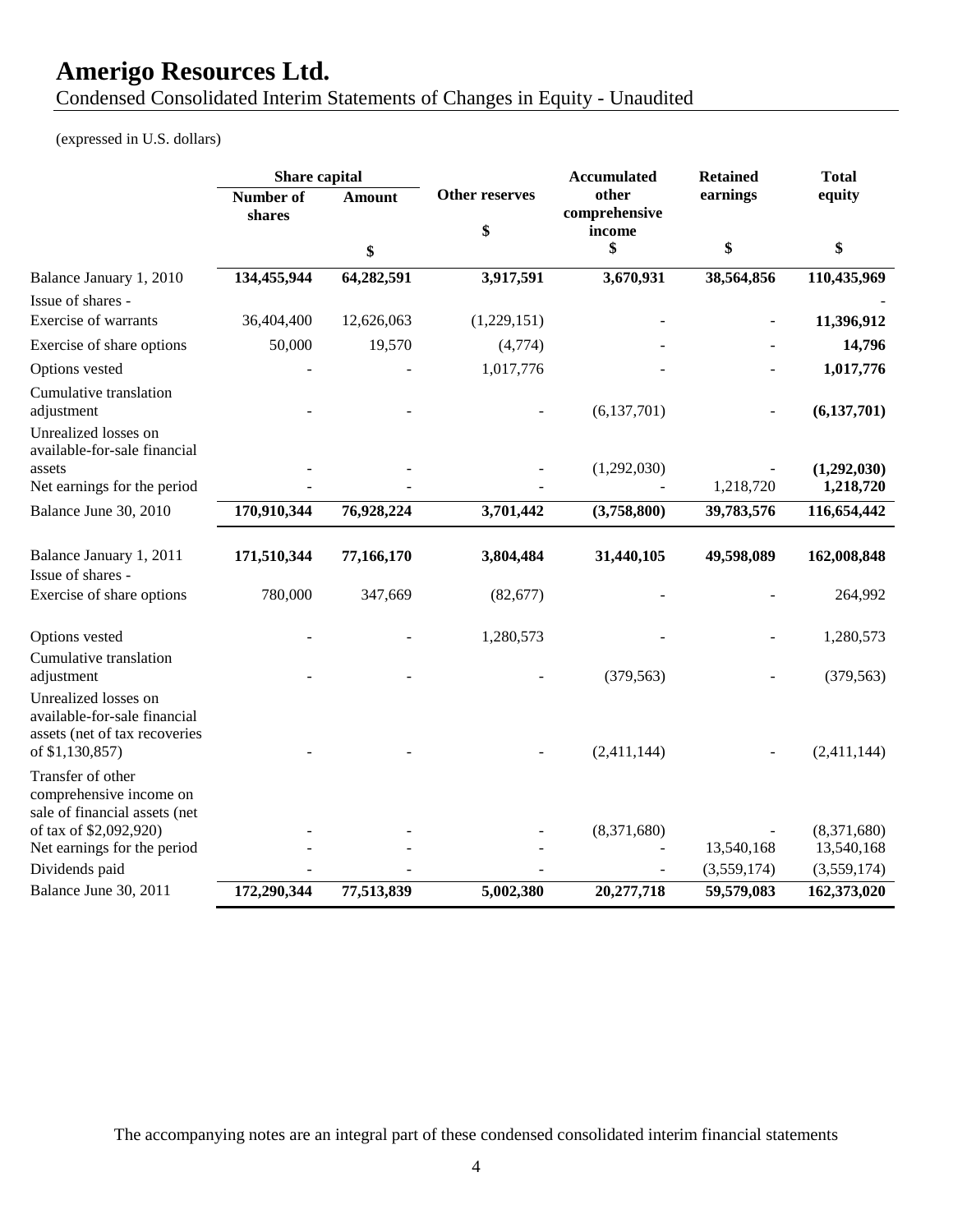Condensed Consolidated Interim Statements of Changes in Equity - Unaudited

(expressed in U.S. dollars)

|                                                                                                                                        | Share capital              |                       |                             | <b>Accumulated</b>               | <b>Retained</b> | <b>Total</b>              |
|----------------------------------------------------------------------------------------------------------------------------------------|----------------------------|-----------------------|-----------------------------|----------------------------------|-----------------|---------------------------|
|                                                                                                                                        | <b>Number of</b><br>shares | <b>Amount</b>         | <b>Other reserves</b><br>\$ | other<br>comprehensive<br>income | earnings        | equity                    |
|                                                                                                                                        |                            | \$                    |                             | \$                               | \$              | \$                        |
| Balance January 1, 2010                                                                                                                | 134,455,944                | 64,282,591            | 3,917,591                   | 3,670,931                        | 38,564,856      | 110,435,969               |
| Issue of shares -<br>Exercise of warrants                                                                                              | 36,404,400                 | 12,626,063            | (1,229,151)                 |                                  |                 | 11,396,912                |
| Exercise of share options                                                                                                              | 50,000                     | 19,570                | (4,774)                     |                                  |                 | 14,796                    |
| Options vested                                                                                                                         |                            |                       | 1,017,776                   |                                  |                 | 1,017,776                 |
| Cumulative translation<br>adjustment<br>Unrealized losses on                                                                           |                            |                       |                             | (6,137,701)                      |                 | (6, 137, 701)             |
| available-for-sale financial<br>assets<br>Net earnings for the period                                                                  |                            |                       |                             | (1,292,030)                      | 1,218,720       | (1,292,030)<br>1,218,720  |
| Balance June 30, 2010                                                                                                                  | 170,910,344                | 76,928,224            | 3,701,442                   | (3,758,800)                      | 39,783,576      | 116,654,442               |
| Balance January 1, 2011<br>Issue of shares -<br>Exercise of share options                                                              | 171,510,344<br>780,000     | 77,166,170<br>347,669 | 3,804,484<br>(82, 677)      | 31,440,105                       | 49,598,089      | 162,008,848<br>264,992    |
|                                                                                                                                        |                            |                       |                             |                                  |                 |                           |
| Options vested<br>Cumulative translation                                                                                               |                            |                       | 1,280,573                   | (379, 563)                       |                 | 1,280,573                 |
| adjustment<br>Unrealized losses on<br>available-for-sale financial<br>assets (net of tax recoveries<br>of \$1,130,857)                 |                            |                       |                             | (2,411,144)                      |                 | (379, 563)<br>(2,411,144) |
| Transfer of other<br>comprehensive income on<br>sale of financial assets (net<br>of tax of \$2,092,920)<br>Net earnings for the period |                            |                       |                             | (8,371,680)                      | 13,540,168      | (8,371,680)<br>13,540,168 |
| Dividends paid                                                                                                                         |                            |                       |                             |                                  | (3,559,174)     | (3,559,174)               |
| Balance June 30, 2011                                                                                                                  | 172,290,344                | 77,513,839            | 5,002,380                   | 20,277,718                       | 59,579,083      | 162,373,020               |

The accompanying notes are an integral part of these condensed consolidated interim financial statements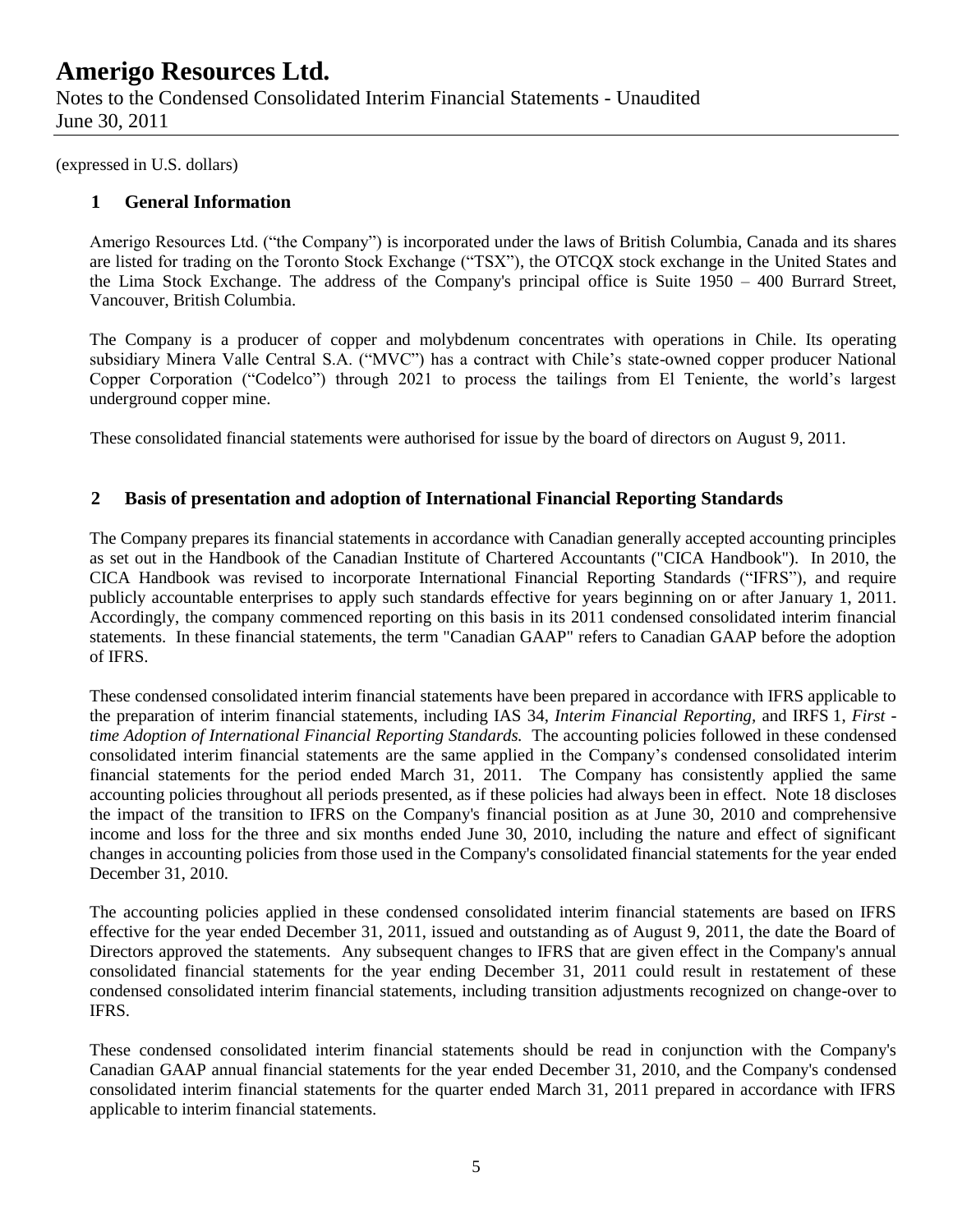Notes to the Condensed Consolidated Interim Financial Statements - Unaudited June 30, 2011

(expressed in U.S. dollars)

### **1 General Information**

Amerigo Resources Ltd. ("the Company") is incorporated under the laws of British Columbia, Canada and its shares are listed for trading on the Toronto Stock Exchange ("TSX"), the OTCQX stock exchange in the United States and the Lima Stock Exchange. The address of the Company's principal office is Suite 1950 – 400 Burrard Street, Vancouver, British Columbia.

The Company is a producer of copper and molybdenum concentrates with operations in Chile. Its operating subsidiary Minera Valle Central S.A. ("MVC") has a contract with Chile's state-owned copper producer National Copper Corporation ("Codelco") through 2021 to process the tailings from El Teniente, the world's largest underground copper mine.

These consolidated financial statements were authorised for issue by the board of directors on August 9, 2011.

### **2 Basis of presentation and adoption of International Financial Reporting Standards**

The Company prepares its financial statements in accordance with Canadian generally accepted accounting principles as set out in the Handbook of the Canadian Institute of Chartered Accountants ("CICA Handbook"). In 2010, the CICA Handbook was revised to incorporate International Financial Reporting Standards ("IFRS"), and require publicly accountable enterprises to apply such standards effective for years beginning on or after January 1, 2011. Accordingly, the company commenced reporting on this basis in its 2011 condensed consolidated interim financial statements. In these financial statements, the term "Canadian GAAP" refers to Canadian GAAP before the adoption of IFRS.

These condensed consolidated interim financial statements have been prepared in accordance with IFRS applicable to the preparation of interim financial statements, including IAS 34, *Interim Financial Reporting,* and IRFS 1, *First time Adoption of International Financial Reporting Standards.* The accounting policies followed in these condensed consolidated interim financial statements are the same applied in the Company's condensed consolidated interim financial statements for the period ended March 31, 2011. The Company has consistently applied the same accounting policies throughout all periods presented, as if these policies had always been in effect. Note 18 discloses the impact of the transition to IFRS on the Company's financial position as at June 30, 2010 and comprehensive income and loss for the three and six months ended June 30, 2010, including the nature and effect of significant changes in accounting policies from those used in the Company's consolidated financial statements for the year ended December 31, 2010.

The accounting policies applied in these condensed consolidated interim financial statements are based on IFRS effective for the year ended December 31, 2011, issued and outstanding as of August 9, 2011, the date the Board of Directors approved the statements. Any subsequent changes to IFRS that are given effect in the Company's annual consolidated financial statements for the year ending December 31, 2011 could result in restatement of these condensed consolidated interim financial statements, including transition adjustments recognized on change-over to IFRS.

These condensed consolidated interim financial statements should be read in conjunction with the Company's Canadian GAAP annual financial statements for the year ended December 31, 2010, and the Company's condensed consolidated interim financial statements for the quarter ended March 31, 2011 prepared in accordance with IFRS applicable to interim financial statements.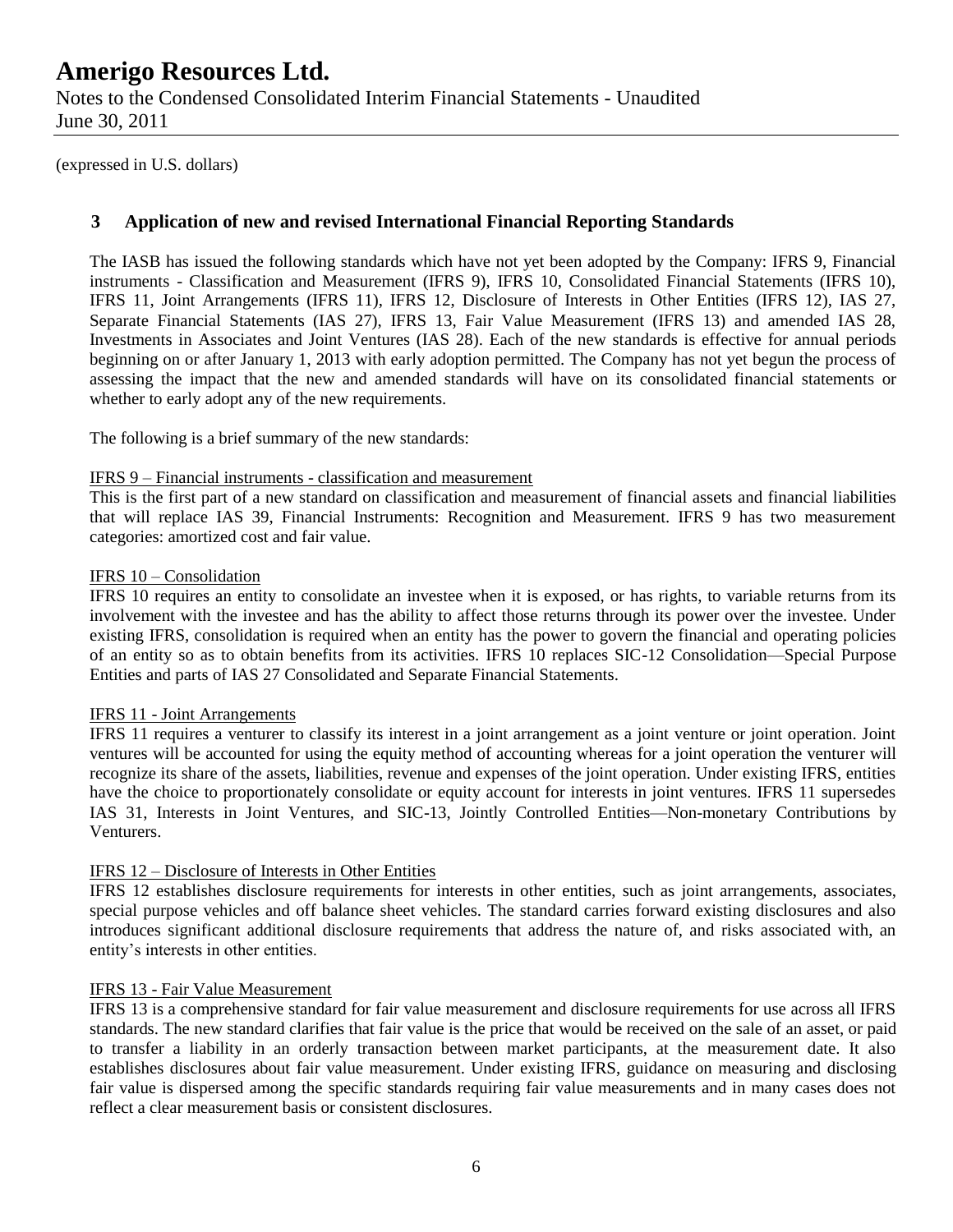Notes to the Condensed Consolidated Interim Financial Statements - Unaudited June 30, 2011

(expressed in U.S. dollars)

### **3 Application of new and revised International Financial Reporting Standards**

The IASB has issued the following standards which have not yet been adopted by the Company: IFRS 9, Financial instruments - Classification and Measurement (IFRS 9), IFRS 10, Consolidated Financial Statements (IFRS 10), IFRS 11, Joint Arrangements (IFRS 11), IFRS 12, Disclosure of Interests in Other Entities (IFRS 12), IAS 27, Separate Financial Statements (IAS 27), IFRS 13, Fair Value Measurement (IFRS 13) and amended IAS 28, Investments in Associates and Joint Ventures (IAS 28). Each of the new standards is effective for annual periods beginning on or after January 1, 2013 with early adoption permitted. The Company has not yet begun the process of assessing the impact that the new and amended standards will have on its consolidated financial statements or whether to early adopt any of the new requirements.

The following is a brief summary of the new standards:

#### IFRS 9 – Financial instruments - classification and measurement

This is the first part of a new standard on classification and measurement of financial assets and financial liabilities that will replace IAS 39, Financial Instruments: Recognition and Measurement. IFRS 9 has two measurement categories: amortized cost and fair value.

#### IFRS 10 – Consolidation

IFRS 10 requires an entity to consolidate an investee when it is exposed, or has rights, to variable returns from its involvement with the investee and has the ability to affect those returns through its power over the investee. Under existing IFRS, consolidation is required when an entity has the power to govern the financial and operating policies of an entity so as to obtain benefits from its activities. IFRS 10 replaces SIC-12 Consolidation—Special Purpose Entities and parts of IAS 27 Consolidated and Separate Financial Statements.

#### IFRS 11 - Joint Arrangements

IFRS 11 requires a venturer to classify its interest in a joint arrangement as a joint venture or joint operation. Joint ventures will be accounted for using the equity method of accounting whereas for a joint operation the venturer will recognize its share of the assets, liabilities, revenue and expenses of the joint operation. Under existing IFRS, entities have the choice to proportionately consolidate or equity account for interests in joint ventures. IFRS 11 supersedes IAS 31, Interests in Joint Ventures, and SIC-13, Jointly Controlled Entities—Non-monetary Contributions by Venturers.

#### IFRS 12 – Disclosure of Interests in Other Entities

IFRS 12 establishes disclosure requirements for interests in other entities, such as joint arrangements, associates, special purpose vehicles and off balance sheet vehicles. The standard carries forward existing disclosures and also introduces significant additional disclosure requirements that address the nature of, and risks associated with, an entity's interests in other entities.

#### IFRS 13 - Fair Value Measurement

IFRS 13 is a comprehensive standard for fair value measurement and disclosure requirements for use across all IFRS standards. The new standard clarifies that fair value is the price that would be received on the sale of an asset, or paid to transfer a liability in an orderly transaction between market participants, at the measurement date. It also establishes disclosures about fair value measurement. Under existing IFRS, guidance on measuring and disclosing fair value is dispersed among the specific standards requiring fair value measurements and in many cases does not reflect a clear measurement basis or consistent disclosures.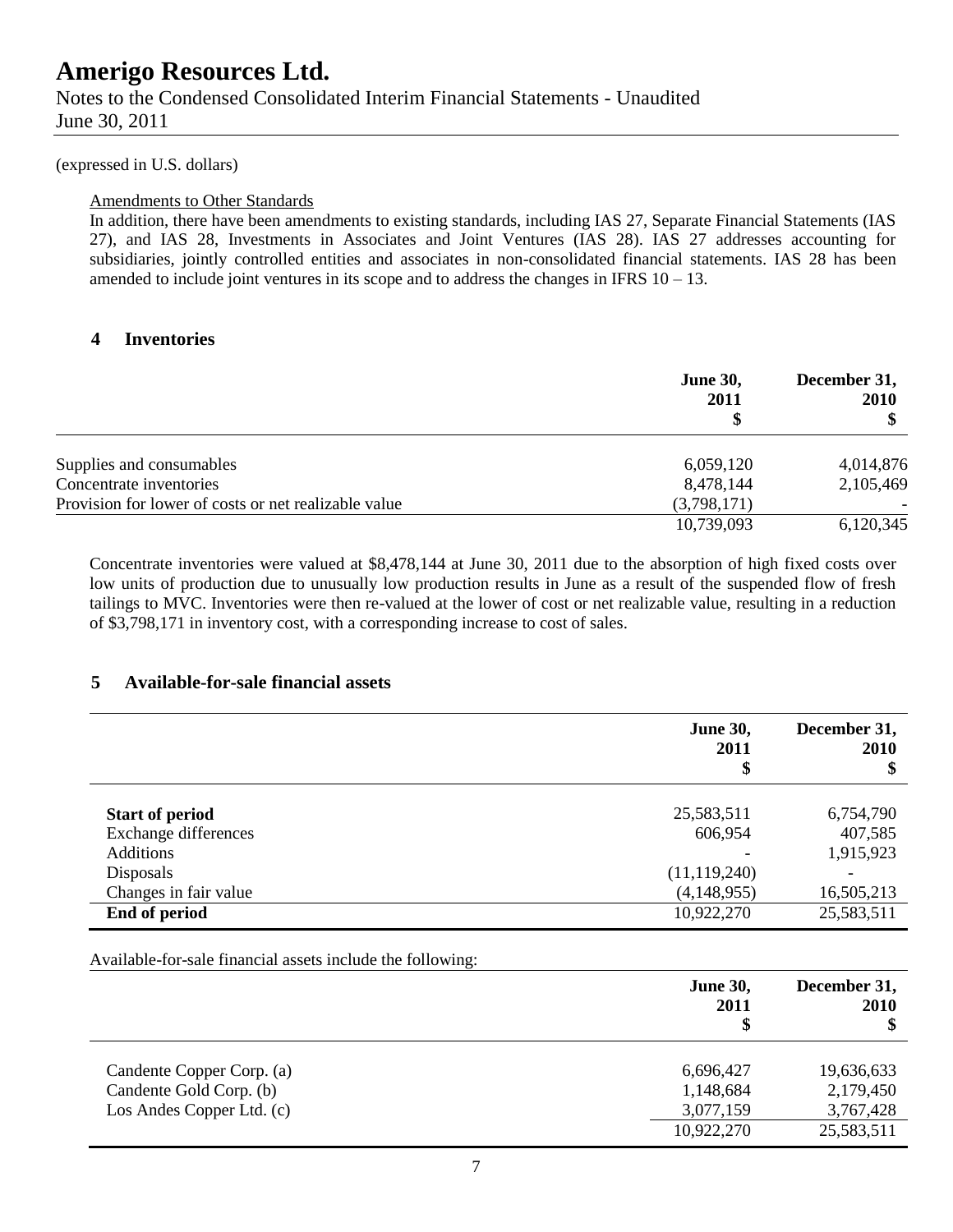(expressed in U.S. dollars)

#### Amendments to Other Standards

In addition, there have been amendments to existing standards, including IAS 27, Separate Financial Statements (IAS 27), and IAS 28, Investments in Associates and Joint Ventures (IAS 28). IAS 27 addresses accounting for subsidiaries, jointly controlled entities and associates in non-consolidated financial statements. IAS 28 has been amended to include joint ventures in its scope and to address the changes in IFRS  $10 - 13$ .

### **4 Inventories**

|                                                      | <b>June 30,</b><br>2011 | December 31,<br><b>2010</b> |
|------------------------------------------------------|-------------------------|-----------------------------|
| Supplies and consumables                             | 6,059,120               | 4,014,876                   |
| Concentrate inventories                              | 8,478,144               | 2,105,469                   |
| Provision for lower of costs or net realizable value | (3,798,171)             |                             |
|                                                      | 10,739,093              | 6,120,345                   |

Concentrate inventories were valued at \$8,478,144 at June 30, 2011 due to the absorption of high fixed costs over low units of production due to unusually low production results in June as a result of the suspended flow of fresh tailings to MVC. Inventories were then re-valued at the lower of cost or net realizable value, resulting in a reduction of \$3,798,171 in inventory cost, with a corresponding increase to cost of sales.

### **5 Available-for-sale financial assets**

|                        | <b>June 30,</b><br>2011<br>\$ | December 31,<br>2010<br>\$ |
|------------------------|-------------------------------|----------------------------|
| <b>Start of period</b> | 25,583,511                    | 6,754,790                  |
| Exchange differences   | 606,954                       | 407,585                    |
| <b>Additions</b>       |                               | 1,915,923                  |
| Disposals              | (11, 119, 240)                |                            |
| Changes in fair value  | (4,148,955)                   | 16,505,213                 |
| End of period          | 10,922,270                    | 25,583,511                 |

Available-for-sale financial assets include the following:

|                           | <b>June 30,</b><br>2011<br>\$ | December 31,<br><b>2010</b><br>\$ |
|---------------------------|-------------------------------|-----------------------------------|
| Candente Copper Corp. (a) | 6,696,427                     | 19,636,633                        |
| Candente Gold Corp. (b)   | 1,148,684                     | 2,179,450                         |
| Los Andes Copper Ltd. (c) | 3,077,159                     | 3,767,428                         |
|                           | 10,922,270                    | 25,583,511                        |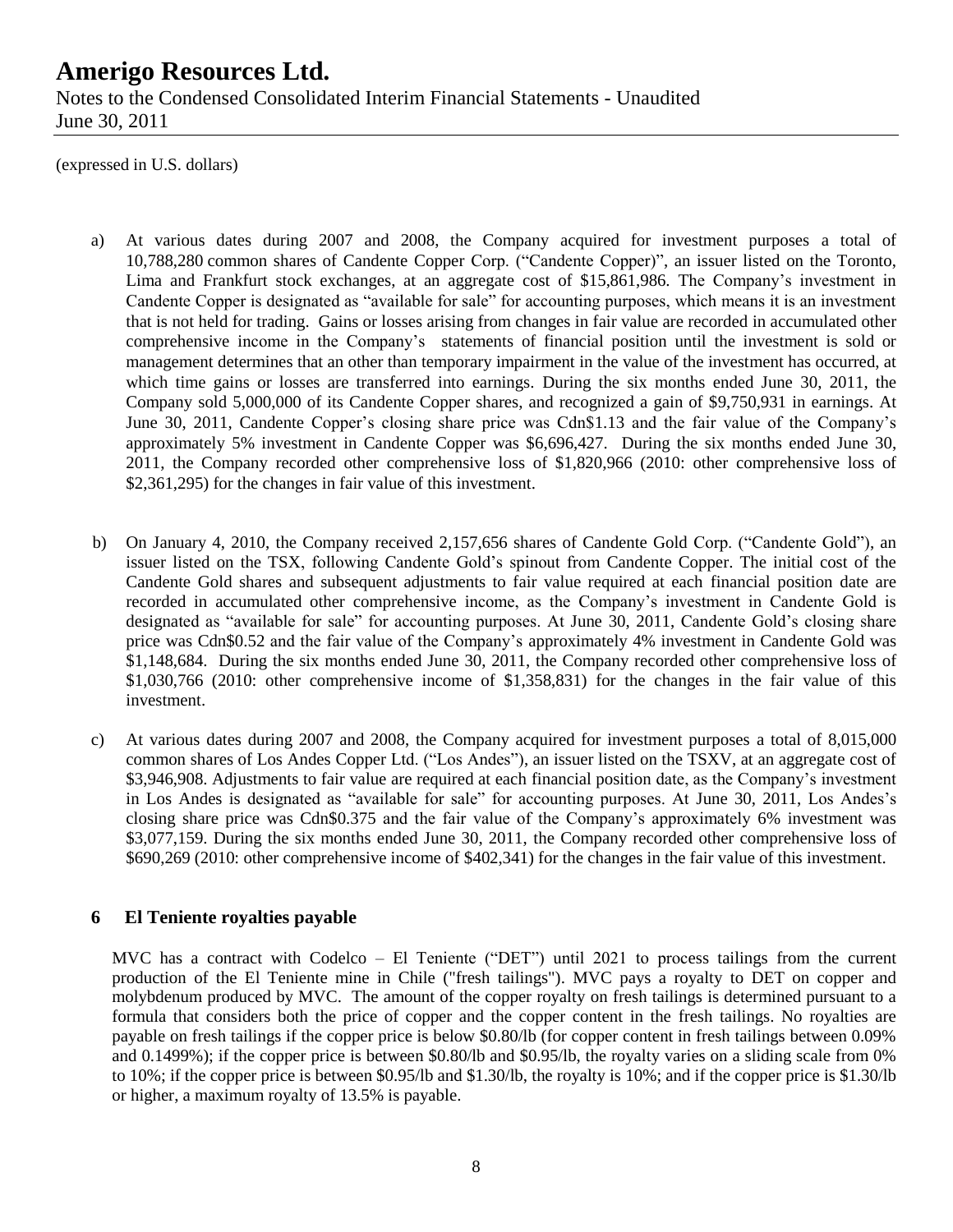### **Amerigo Resources Ltd.** Notes to the Condensed Consolidated Interim Financial Statements - Unaudited June 30, 2011

(expressed in U.S. dollars)

- a) At various dates during 2007 and 2008, the Company acquired for investment purposes a total of 10,788,280 common shares of Candente Copper Corp. ("Candente Copper)", an issuer listed on the Toronto, Lima and Frankfurt stock exchanges, at an aggregate cost of \$15,861,986. The Company's investment in Candente Copper is designated as "available for sale" for accounting purposes, which means it is an investment that is not held for trading. Gains or losses arising from changes in fair value are recorded in accumulated other comprehensive income in the Company's statements of financial position until the investment is sold or management determines that an other than temporary impairment in the value of the investment has occurred, at which time gains or losses are transferred into earnings. During the six months ended June 30, 2011, the Company sold 5,000,000 of its Candente Copper shares, and recognized a gain of \$9,750,931 in earnings. At June 30, 2011, Candente Copper's closing share price was Cdn\$1.13 and the fair value of the Company's approximately 5% investment in Candente Copper was \$6,696,427. During the six months ended June 30, 2011, the Company recorded other comprehensive loss of \$1,820,966 (2010: other comprehensive loss of \$2,361,295) for the changes in fair value of this investment.
- b) On January 4, 2010, the Company received 2,157,656 shares of Candente Gold Corp. ("Candente Gold"), an issuer listed on the TSX, following Candente Gold's spinout from Candente Copper. The initial cost of the Candente Gold shares and subsequent adjustments to fair value required at each financial position date are recorded in accumulated other comprehensive income, as the Company's investment in Candente Gold is designated as "available for sale" for accounting purposes. At June 30, 2011, Candente Gold's closing share price was Cdn\$0.52 and the fair value of the Company's approximately 4% investment in Candente Gold was \$1,148,684. During the six months ended June 30, 2011, the Company recorded other comprehensive loss of \$1,030,766 (2010: other comprehensive income of \$1,358,831) for the changes in the fair value of this investment.
- c) At various dates during 2007 and 2008, the Company acquired for investment purposes a total of 8,015,000 common shares of Los Andes Copper Ltd. ("Los Andes"), an issuer listed on the TSXV, at an aggregate cost of \$3,946,908. Adjustments to fair value are required at each financial position date, as the Company's investment in Los Andes is designated as "available for sale" for accounting purposes. At June 30, 2011, Los Andes's closing share price was Cdn\$0.375 and the fair value of the Company's approximately 6% investment was \$3,077,159. During the six months ended June 30, 2011, the Company recorded other comprehensive loss of \$690,269 (2010: other comprehensive income of \$402,341) for the changes in the fair value of this investment.

### **6 El Teniente royalties payable**

MVC has a contract with Codelco – El Teniente ("DET") until 2021 to process tailings from the current production of the El Teniente mine in Chile ("fresh tailings"). MVC pays a royalty to DET on copper and molybdenum produced by MVC. The amount of the copper royalty on fresh tailings is determined pursuant to a formula that considers both the price of copper and the copper content in the fresh tailings. No royalties are payable on fresh tailings if the copper price is below \$0.80/lb (for copper content in fresh tailings between 0.09% and 0.1499%); if the copper price is between \$0.80/lb and \$0.95/lb, the royalty varies on a sliding scale from 0% to 10%; if the copper price is between \$0.95/lb and \$1.30/lb, the royalty is 10%; and if the copper price is \$1.30/lb or higher, a maximum royalty of 13.5% is payable.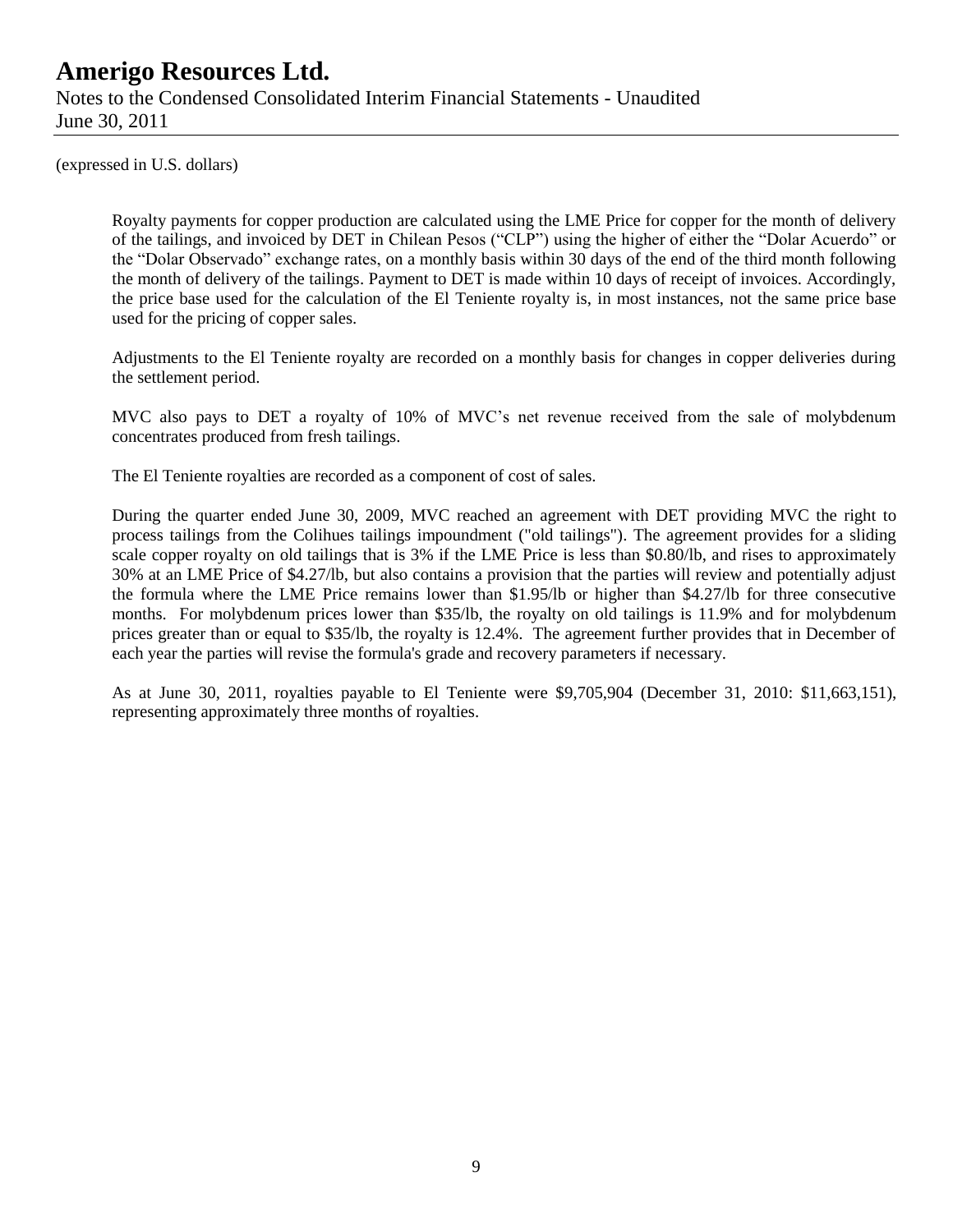Notes to the Condensed Consolidated Interim Financial Statements - Unaudited June 30, 2011

(expressed in U.S. dollars)

Royalty payments for copper production are calculated using the LME Price for copper for the month of delivery of the tailings, and invoiced by DET in Chilean Pesos ("CLP") using the higher of either the "Dolar Acuerdo" or the "Dolar Observado" exchange rates, on a monthly basis within 30 days of the end of the third month following the month of delivery of the tailings. Payment to DET is made within 10 days of receipt of invoices. Accordingly, the price base used for the calculation of the El Teniente royalty is, in most instances, not the same price base used for the pricing of copper sales.

Adjustments to the El Teniente royalty are recorded on a monthly basis for changes in copper deliveries during the settlement period.

MVC also pays to DET a royalty of 10% of MVC's net revenue received from the sale of molybdenum concentrates produced from fresh tailings.

The El Teniente royalties are recorded as a component of cost of sales.

During the quarter ended June 30, 2009, MVC reached an agreement with DET providing MVC the right to process tailings from the Colihues tailings impoundment ("old tailings"). The agreement provides for a sliding scale copper royalty on old tailings that is 3% if the LME Price is less than \$0.80/lb, and rises to approximately 30% at an LME Price of \$4.27/lb, but also contains a provision that the parties will review and potentially adjust the formula where the LME Price remains lower than \$1.95/lb or higher than \$4.27/lb for three consecutive months. For molybdenum prices lower than \$35/lb, the royalty on old tailings is 11.9% and for molybdenum prices greater than or equal to \$35/lb, the royalty is 12.4%. The agreement further provides that in December of each year the parties will revise the formula's grade and recovery parameters if necessary.

As at June 30, 2011, royalties payable to El Teniente were \$9,705,904 (December 31, 2010: \$11,663,151), representing approximately three months of royalties.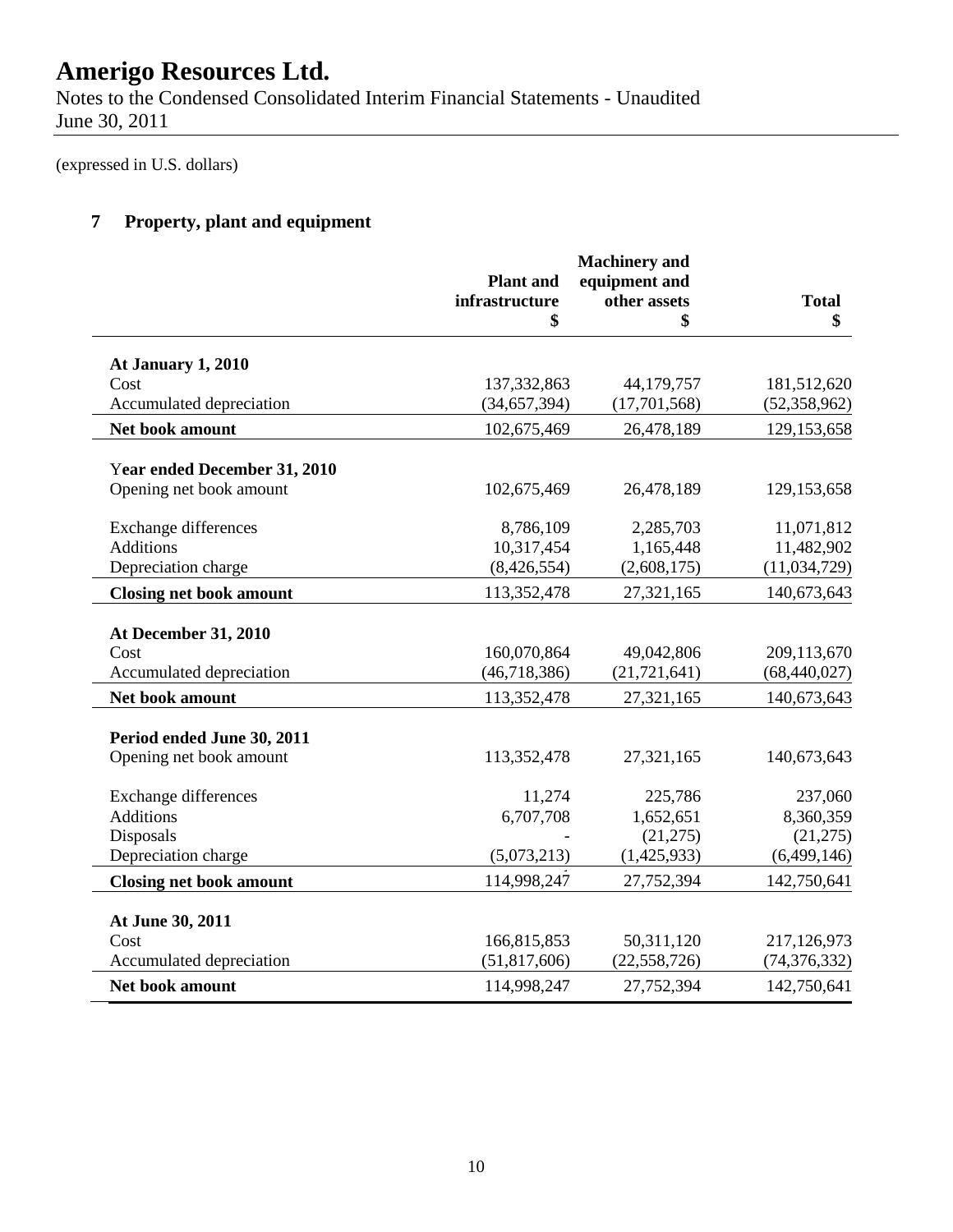Notes to the Condensed Consolidated Interim Financial Statements - Unaudited June 30, 2011

(expressed in U.S. dollars)

### **7 Property, plant and equipment**

| equipment and<br><b>Plant</b> and<br>infrastructure<br>other assets<br><b>Total</b><br>\$<br>\$<br>\$<br>At January 1, 2010<br>Cost<br>137, 332, 863<br>44,179,757<br>Accumulated depreciation<br>(34, 657, 394)<br>(17,701,568)<br>102,675,469<br>Net book amount<br>26,478,189<br>Year ended December 31, 2010<br>Opening net book amount<br>102,675,469<br>26,478,189<br>8,786,109<br><b>Exchange differences</b><br>2,285,703<br><b>Additions</b><br>10,317,454<br>1,165,448<br>Depreciation charge<br>(8,426,554)<br>(2,608,175)<br>113,352,478<br>27,321,165<br><b>Closing net book amount</b><br><b>At December 31, 2010</b><br>160,070,864<br>49,042,806<br>Cost<br>Accumulated depreciation<br>(46, 718, 386)<br>(21, 721, 641)<br>Net book amount<br>113,352,478<br>27,321,165<br>Period ended June 30, 2011<br>Opening net book amount<br>113,352,478<br>27,321,165<br>11,274<br><b>Exchange differences</b><br>225,786<br><b>Additions</b><br>6,707,708<br>1,652,651<br>Disposals<br>(21, 275)<br>Depreciation charge<br>(5,073,213)<br>(1,425,933)<br>114,998,247<br>27,752,394<br><b>Closing net book amount</b><br>At June 30, 2011<br>166,815,853<br>50,311,120<br>Cost<br>Accumulated depreciation<br>(51, 817, 606)<br>(22, 558, 726)<br>27,752,394<br>Net book amount<br>114,998,247 |  |  |                |
|---------------------------------------------------------------------------------------------------------------------------------------------------------------------------------------------------------------------------------------------------------------------------------------------------------------------------------------------------------------------------------------------------------------------------------------------------------------------------------------------------------------------------------------------------------------------------------------------------------------------------------------------------------------------------------------------------------------------------------------------------------------------------------------------------------------------------------------------------------------------------------------------------------------------------------------------------------------------------------------------------------------------------------------------------------------------------------------------------------------------------------------------------------------------------------------------------------------------------------------------------------------------------------------------------------|--|--|----------------|
|                                                                                                                                                                                                                                                                                                                                                                                                                                                                                                                                                                                                                                                                                                                                                                                                                                                                                                                                                                                                                                                                                                                                                                                                                                                                                                         |  |  |                |
|                                                                                                                                                                                                                                                                                                                                                                                                                                                                                                                                                                                                                                                                                                                                                                                                                                                                                                                                                                                                                                                                                                                                                                                                                                                                                                         |  |  |                |
|                                                                                                                                                                                                                                                                                                                                                                                                                                                                                                                                                                                                                                                                                                                                                                                                                                                                                                                                                                                                                                                                                                                                                                                                                                                                                                         |  |  |                |
|                                                                                                                                                                                                                                                                                                                                                                                                                                                                                                                                                                                                                                                                                                                                                                                                                                                                                                                                                                                                                                                                                                                                                                                                                                                                                                         |  |  |                |
|                                                                                                                                                                                                                                                                                                                                                                                                                                                                                                                                                                                                                                                                                                                                                                                                                                                                                                                                                                                                                                                                                                                                                                                                                                                                                                         |  |  | 181,512,620    |
|                                                                                                                                                                                                                                                                                                                                                                                                                                                                                                                                                                                                                                                                                                                                                                                                                                                                                                                                                                                                                                                                                                                                                                                                                                                                                                         |  |  | (52, 358, 962) |
|                                                                                                                                                                                                                                                                                                                                                                                                                                                                                                                                                                                                                                                                                                                                                                                                                                                                                                                                                                                                                                                                                                                                                                                                                                                                                                         |  |  | 129, 153, 658  |
|                                                                                                                                                                                                                                                                                                                                                                                                                                                                                                                                                                                                                                                                                                                                                                                                                                                                                                                                                                                                                                                                                                                                                                                                                                                                                                         |  |  |                |
|                                                                                                                                                                                                                                                                                                                                                                                                                                                                                                                                                                                                                                                                                                                                                                                                                                                                                                                                                                                                                                                                                                                                                                                                                                                                                                         |  |  | 129, 153, 658  |
|                                                                                                                                                                                                                                                                                                                                                                                                                                                                                                                                                                                                                                                                                                                                                                                                                                                                                                                                                                                                                                                                                                                                                                                                                                                                                                         |  |  | 11,071,812     |
|                                                                                                                                                                                                                                                                                                                                                                                                                                                                                                                                                                                                                                                                                                                                                                                                                                                                                                                                                                                                                                                                                                                                                                                                                                                                                                         |  |  | 11,482,902     |
|                                                                                                                                                                                                                                                                                                                                                                                                                                                                                                                                                                                                                                                                                                                                                                                                                                                                                                                                                                                                                                                                                                                                                                                                                                                                                                         |  |  | (11, 034, 729) |
|                                                                                                                                                                                                                                                                                                                                                                                                                                                                                                                                                                                                                                                                                                                                                                                                                                                                                                                                                                                                                                                                                                                                                                                                                                                                                                         |  |  | 140,673,643    |
|                                                                                                                                                                                                                                                                                                                                                                                                                                                                                                                                                                                                                                                                                                                                                                                                                                                                                                                                                                                                                                                                                                                                                                                                                                                                                                         |  |  |                |
|                                                                                                                                                                                                                                                                                                                                                                                                                                                                                                                                                                                                                                                                                                                                                                                                                                                                                                                                                                                                                                                                                                                                                                                                                                                                                                         |  |  | 209,113,670    |
|                                                                                                                                                                                                                                                                                                                                                                                                                                                                                                                                                                                                                                                                                                                                                                                                                                                                                                                                                                                                                                                                                                                                                                                                                                                                                                         |  |  | (68, 440, 027) |
|                                                                                                                                                                                                                                                                                                                                                                                                                                                                                                                                                                                                                                                                                                                                                                                                                                                                                                                                                                                                                                                                                                                                                                                                                                                                                                         |  |  | 140,673,643    |
|                                                                                                                                                                                                                                                                                                                                                                                                                                                                                                                                                                                                                                                                                                                                                                                                                                                                                                                                                                                                                                                                                                                                                                                                                                                                                                         |  |  |                |
|                                                                                                                                                                                                                                                                                                                                                                                                                                                                                                                                                                                                                                                                                                                                                                                                                                                                                                                                                                                                                                                                                                                                                                                                                                                                                                         |  |  | 140,673,643    |
|                                                                                                                                                                                                                                                                                                                                                                                                                                                                                                                                                                                                                                                                                                                                                                                                                                                                                                                                                                                                                                                                                                                                                                                                                                                                                                         |  |  | 237,060        |
|                                                                                                                                                                                                                                                                                                                                                                                                                                                                                                                                                                                                                                                                                                                                                                                                                                                                                                                                                                                                                                                                                                                                                                                                                                                                                                         |  |  | 8,360,359      |
|                                                                                                                                                                                                                                                                                                                                                                                                                                                                                                                                                                                                                                                                                                                                                                                                                                                                                                                                                                                                                                                                                                                                                                                                                                                                                                         |  |  | (21, 275)      |
|                                                                                                                                                                                                                                                                                                                                                                                                                                                                                                                                                                                                                                                                                                                                                                                                                                                                                                                                                                                                                                                                                                                                                                                                                                                                                                         |  |  | (6,499,146)    |
|                                                                                                                                                                                                                                                                                                                                                                                                                                                                                                                                                                                                                                                                                                                                                                                                                                                                                                                                                                                                                                                                                                                                                                                                                                                                                                         |  |  | 142,750,641    |
|                                                                                                                                                                                                                                                                                                                                                                                                                                                                                                                                                                                                                                                                                                                                                                                                                                                                                                                                                                                                                                                                                                                                                                                                                                                                                                         |  |  |                |
|                                                                                                                                                                                                                                                                                                                                                                                                                                                                                                                                                                                                                                                                                                                                                                                                                                                                                                                                                                                                                                                                                                                                                                                                                                                                                                         |  |  | 217,126,973    |
|                                                                                                                                                                                                                                                                                                                                                                                                                                                                                                                                                                                                                                                                                                                                                                                                                                                                                                                                                                                                                                                                                                                                                                                                                                                                                                         |  |  | (74, 376, 332) |
|                                                                                                                                                                                                                                                                                                                                                                                                                                                                                                                                                                                                                                                                                                                                                                                                                                                                                                                                                                                                                                                                                                                                                                                                                                                                                                         |  |  | 142,750,641    |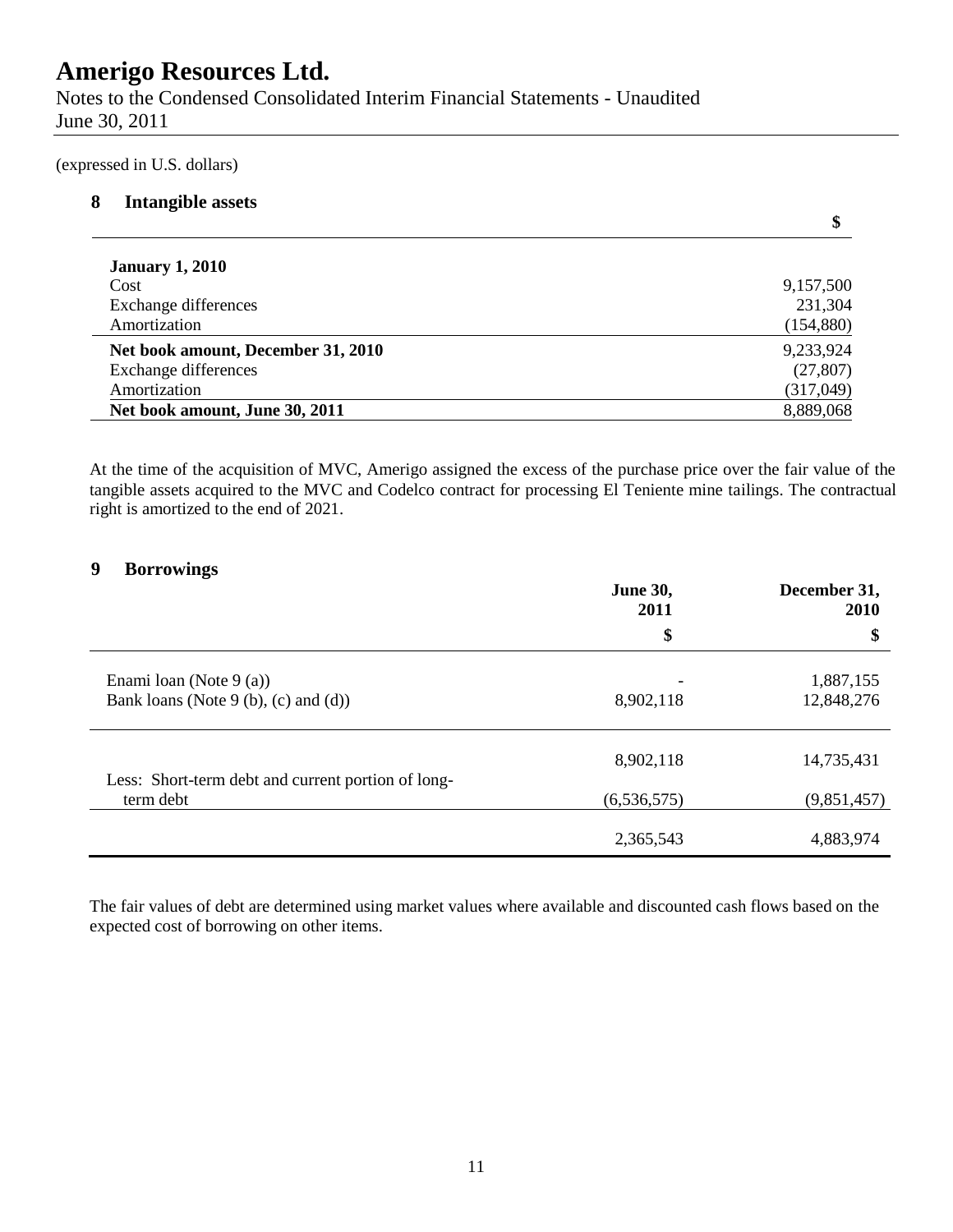Notes to the Condensed Consolidated Interim Financial Statements - Unaudited June 30, 2011

(expressed in U.S. dollars)

### **8 Intangible assets**

|                                    | \$         |
|------------------------------------|------------|
| <b>January 1, 2010</b>             |            |
| Cost                               | 9,157,500  |
| <b>Exchange differences</b>        | 231,304    |
| Amortization                       | (154, 880) |
| Net book amount, December 31, 2010 | 9,233,924  |
| Exchange differences               | (27, 807)  |
| Amortization                       | (317, 049) |
| Net book amount, June 30, 2011     | 8,889,068  |

At the time of the acquisition of MVC, Amerigo assigned the excess of the purchase price over the fair value of the tangible assets acquired to the MVC and Codelco contract for processing El Teniente mine tailings. The contractual right is amortized to the end of 2021.

### **9 Borrowings**

|                                                                 | <b>June 30,</b><br>2011               | December 31,<br>2010    |  |
|-----------------------------------------------------------------|---------------------------------------|-------------------------|--|
|                                                                 | \$                                    | \$                      |  |
| Enami loan (Note 9 (a))<br>Bank loans (Note 9 (b), (c) and (d)) | $\overline{\phantom{0}}$<br>8,902,118 | 1,887,155<br>12,848,276 |  |
| Less: Short-term debt and current portion of long-              | 8,902,118                             | 14,735,431              |  |
| term debt                                                       | (6, 536, 575)                         | (9,851,457)             |  |
|                                                                 | 2,365,543                             | 4,883,974               |  |

The fair values of debt are determined using market values where available and discounted cash flows based on the expected cost of borrowing on other items.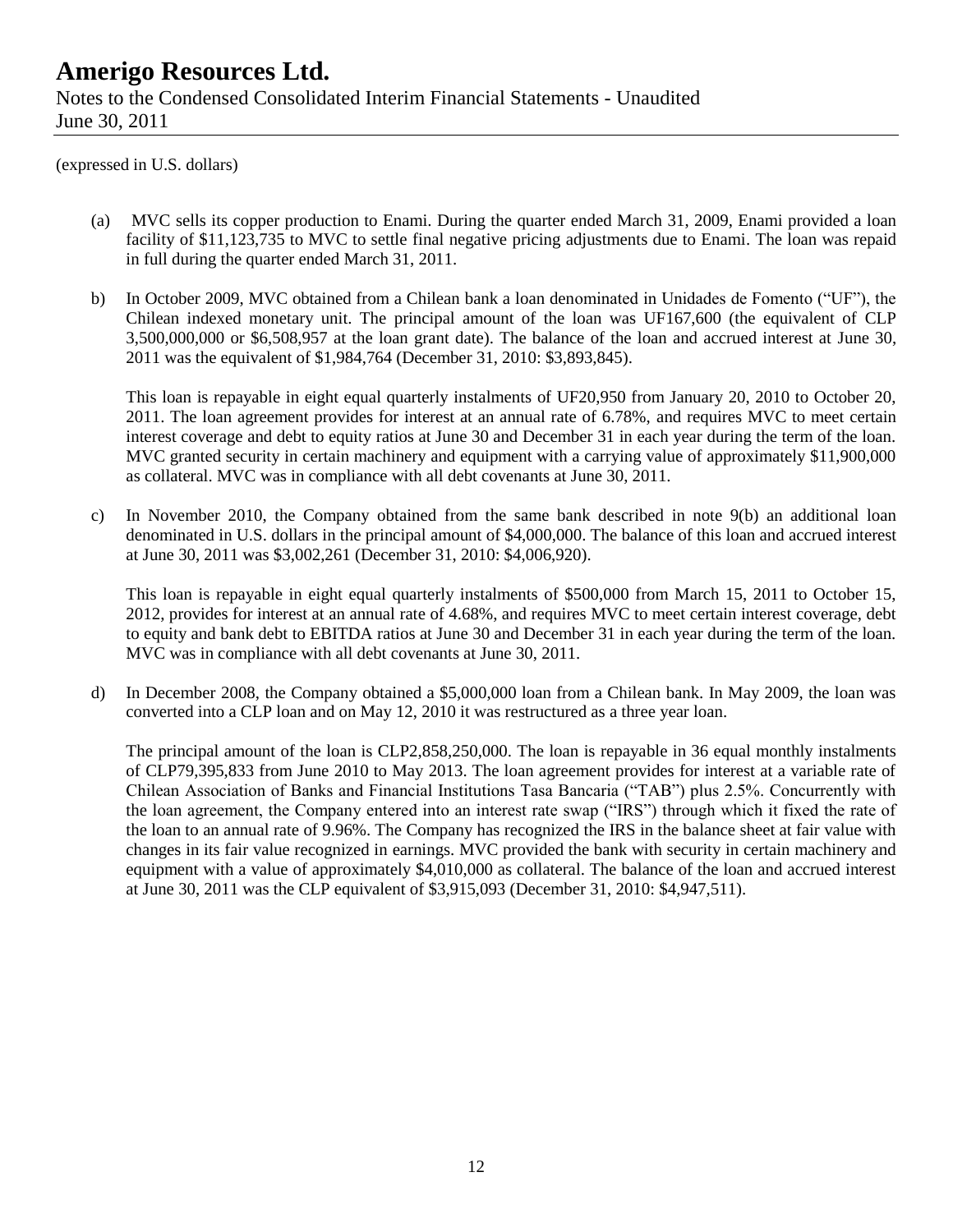### **Amerigo Resources Ltd.** Notes to the Condensed Consolidated Interim Financial Statements - Unaudited June 30, 2011

(expressed in U.S. dollars)

- (a) MVC sells its copper production to Enami. During the quarter ended March 31, 2009, Enami provided a loan facility of \$11,123,735 to MVC to settle final negative pricing adjustments due to Enami. The loan was repaid in full during the quarter ended March 31, 2011.
- b) In October 2009, MVC obtained from a Chilean bank a loan denominated in Unidades de Fomento ("UF"), the Chilean indexed monetary unit. The principal amount of the loan was UF167,600 (the equivalent of CLP 3,500,000,000 or \$6,508,957 at the loan grant date). The balance of the loan and accrued interest at June 30, 2011 was the equivalent of \$1,984,764 (December 31, 2010: \$3,893,845).

This loan is repayable in eight equal quarterly instalments of UF20,950 from January 20, 2010 to October 20, 2011. The loan agreement provides for interest at an annual rate of 6.78%, and requires MVC to meet certain interest coverage and debt to equity ratios at June 30 and December 31 in each year during the term of the loan. MVC granted security in certain machinery and equipment with a carrying value of approximately \$11,900,000 as collateral. MVC was in compliance with all debt covenants at June 30, 2011.

c) In November 2010, the Company obtained from the same bank described in note 9(b) an additional loan denominated in U.S. dollars in the principal amount of \$4,000,000. The balance of this loan and accrued interest at June 30, 2011 was \$3,002,261 (December 31, 2010: \$4,006,920).

This loan is repayable in eight equal quarterly instalments of \$500,000 from March 15, 2011 to October 15, 2012, provides for interest at an annual rate of 4.68%, and requires MVC to meet certain interest coverage, debt to equity and bank debt to EBITDA ratios at June 30 and December 31 in each year during the term of the loan. MVC was in compliance with all debt covenants at June 30, 2011.

d) In December 2008, the Company obtained a \$5,000,000 loan from a Chilean bank. In May 2009, the loan was converted into a CLP loan and on May 12, 2010 it was restructured as a three year loan.

The principal amount of the loan is CLP2,858,250,000. The loan is repayable in 36 equal monthly instalments of CLP79,395,833 from June 2010 to May 2013. The loan agreement provides for interest at a variable rate of Chilean Association of Banks and Financial Institutions Tasa Bancaria ("TAB") plus 2.5%. Concurrently with the loan agreement, the Company entered into an interest rate swap ("IRS") through which it fixed the rate of the loan to an annual rate of 9.96%. The Company has recognized the IRS in the balance sheet at fair value with changes in its fair value recognized in earnings. MVC provided the bank with security in certain machinery and equipment with a value of approximately \$4,010,000 as collateral. The balance of the loan and accrued interest at June 30, 2011 was the CLP equivalent of \$3,915,093 (December 31, 2010: \$4,947,511).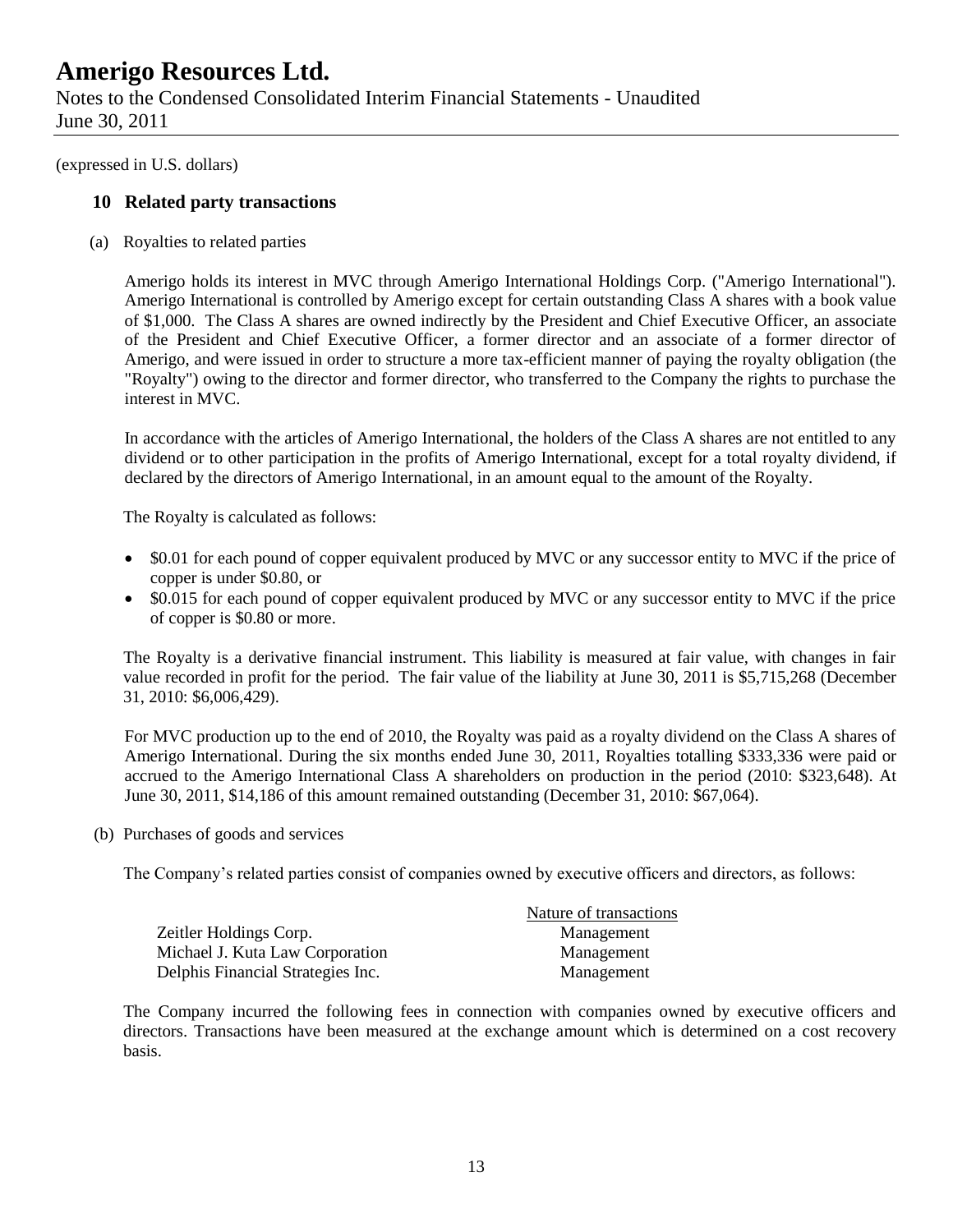Notes to the Condensed Consolidated Interim Financial Statements - Unaudited June 30, 2011

(expressed in U.S. dollars)

### **10 Related party transactions**

(a) Royalties to related parties

Amerigo holds its interest in MVC through Amerigo International Holdings Corp. ("Amerigo International"). Amerigo International is controlled by Amerigo except for certain outstanding Class A shares with a book value of \$1,000. The Class A shares are owned indirectly by the President and Chief Executive Officer, an associate of the President and Chief Executive Officer, a former director and an associate of a former director of Amerigo, and were issued in order to structure a more tax-efficient manner of paying the royalty obligation (the "Royalty") owing to the director and former director, who transferred to the Company the rights to purchase the interest in MVC.

In accordance with the articles of Amerigo International, the holders of the Class A shares are not entitled to any dividend or to other participation in the profits of Amerigo International, except for a total royalty dividend, if declared by the directors of Amerigo International, in an amount equal to the amount of the Royalty.

The Royalty is calculated as follows:

- \$0.01 for each pound of copper equivalent produced by MVC or any successor entity to MVC if the price of copper is under \$0.80, or
- \$0.015 for each pound of copper equivalent produced by MVC or any successor entity to MVC if the price of copper is \$0.80 or more.

The Royalty is a derivative financial instrument. This liability is measured at fair value, with changes in fair value recorded in profit for the period. The fair value of the liability at June 30, 2011 is \$5,715,268 (December 31, 2010: \$6,006,429).

For MVC production up to the end of 2010, the Royalty was paid as a royalty dividend on the Class A shares of Amerigo International. During the six months ended June 30, 2011, Royalties totalling \$333,336 were paid or accrued to the Amerigo International Class A shareholders on production in the period (2010: \$323,648). At June 30, 2011, \$14,186 of this amount remained outstanding (December 31, 2010: \$67,064).

(b) Purchases of goods and services

The Company's related parties consist of companies owned by executive officers and directors, as follows:

|                                   | Nature of transactions |
|-----------------------------------|------------------------|
| Zeitler Holdings Corp.            | Management             |
| Michael J. Kuta Law Corporation   | Management             |
| Delphis Financial Strategies Inc. | Management             |

The Company incurred the following fees in connection with companies owned by executive officers and directors. Transactions have been measured at the exchange amount which is determined on a cost recovery basis.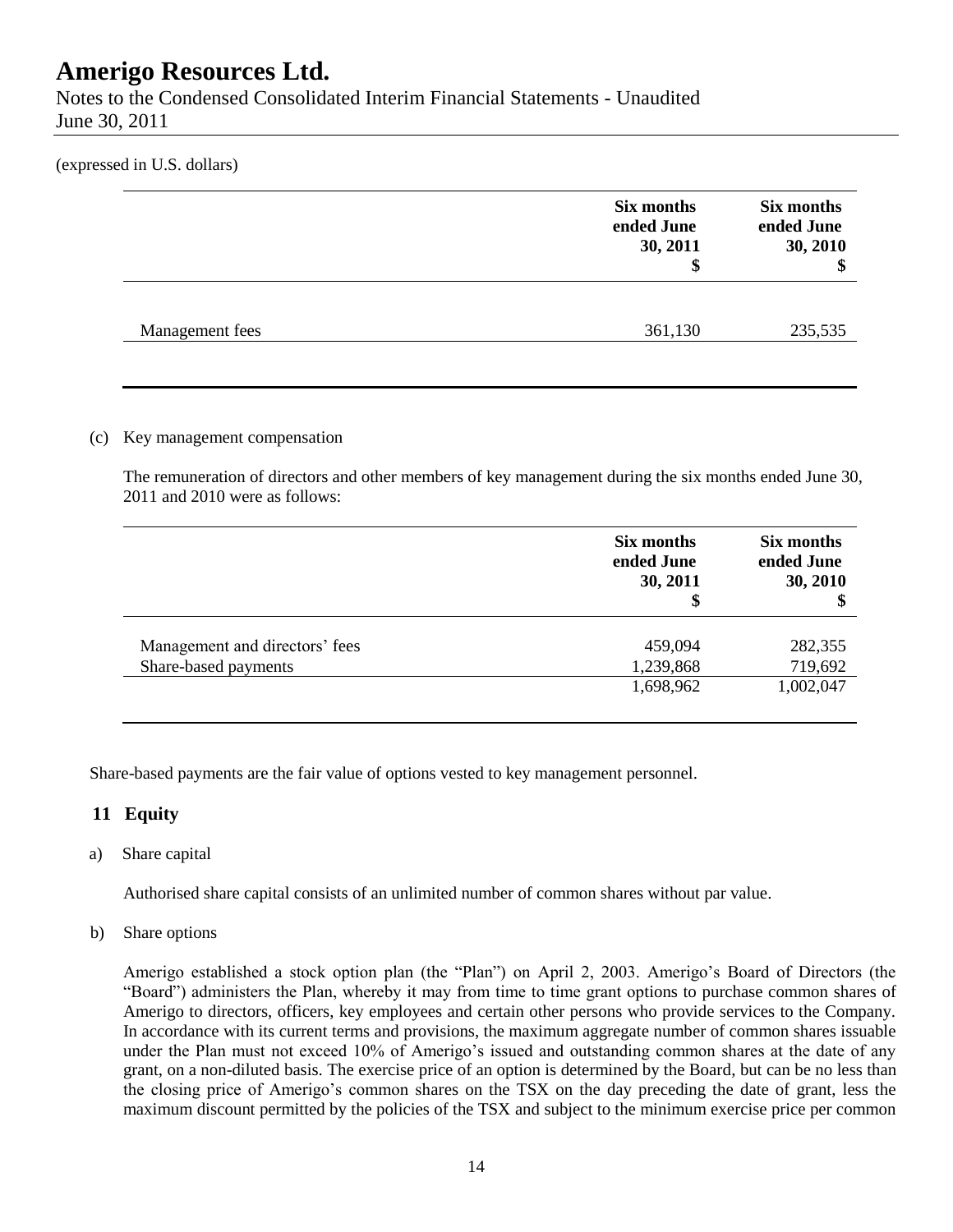Notes to the Condensed Consolidated Interim Financial Statements - Unaudited June 30, 2011

(expressed in U.S. dollars)

|                 | Six months<br>ended June<br>30, 2011<br>\$ | Six months<br>ended June<br>30, 2010 |
|-----------------|--------------------------------------------|--------------------------------------|
| Management fees | 361,130                                    | 235,535                              |

### (c) Key management compensation

The remuneration of directors and other members of key management during the six months ended June 30, 2011 and 2010 were as follows:

|                                                        | Six months<br>ended June<br>30, 2011<br>\$ | Six months<br>ended June<br>30, 2010 |
|--------------------------------------------------------|--------------------------------------------|--------------------------------------|
| Management and directors' fees<br>Share-based payments | 459,094<br>1,239,868                       | 282,355<br>719,692                   |
|                                                        | 1,698,962                                  | 1,002,047                            |

Share-based payments are the fair value of options vested to key management personnel.

### **11 Equity**

#### a) Share capital

Authorised share capital consists of an unlimited number of common shares without par value.

#### b) Share options

Amerigo established a stock option plan (the "Plan") on April 2, 2003. Amerigo's Board of Directors (the "Board") administers the Plan, whereby it may from time to time grant options to purchase common shares of Amerigo to directors, officers, key employees and certain other persons who provide services to the Company. In accordance with its current terms and provisions, the maximum aggregate number of common shares issuable under the Plan must not exceed 10% of Amerigo's issued and outstanding common shares at the date of any grant, on a non-diluted basis. The exercise price of an option is determined by the Board, but can be no less than the closing price of Amerigo's common shares on the TSX on the day preceding the date of grant, less the maximum discount permitted by the policies of the TSX and subject to the minimum exercise price per common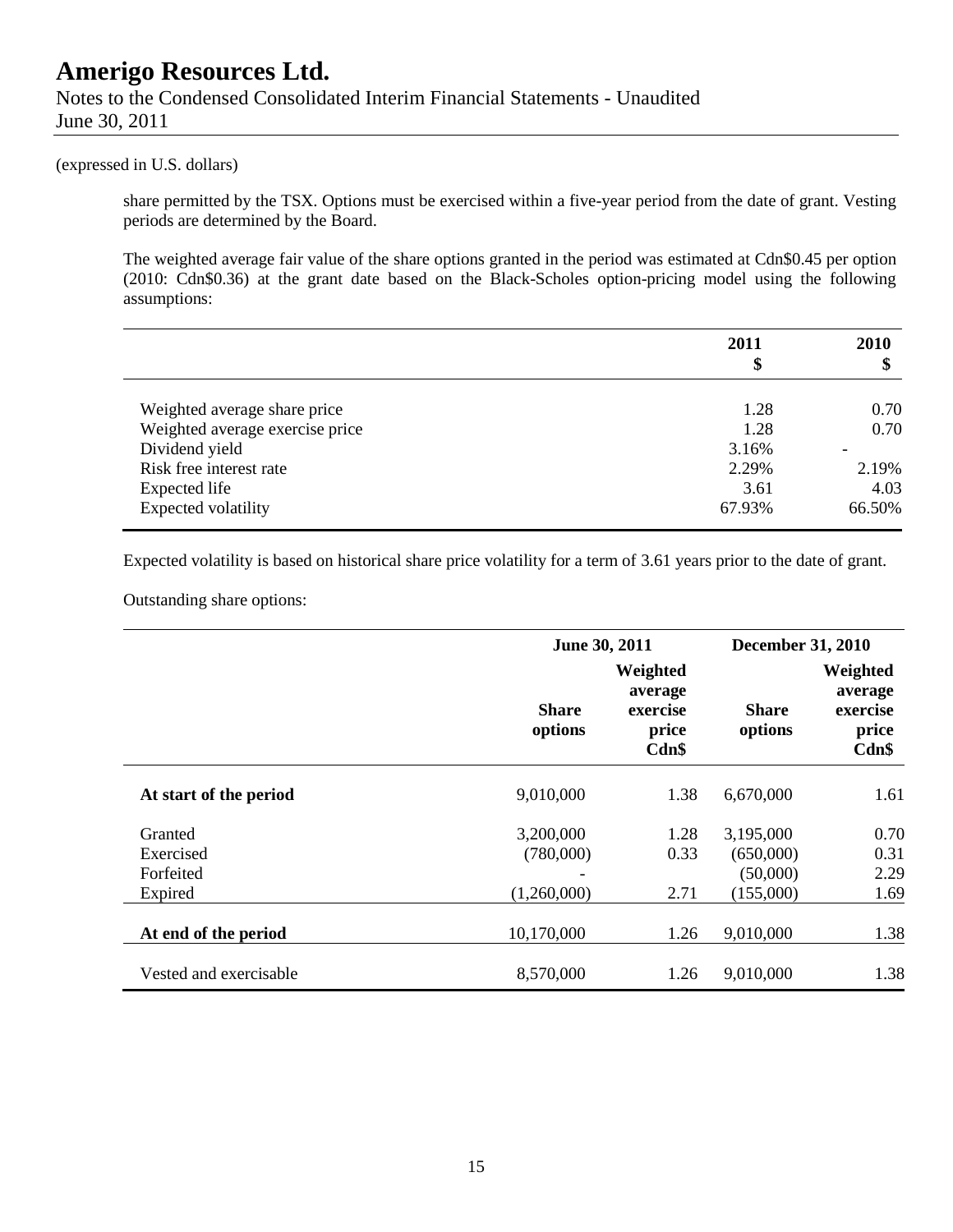### **Amerigo Resources Ltd.** Notes to the Condensed Consolidated Interim Financial Statements - Unaudited June 30, 2011

#### (expressed in U.S. dollars)

share permitted by the TSX. Options must be exercised within a five-year period from the date of grant. Vesting periods are determined by the Board.

The weighted average fair value of the share options granted in the period was estimated at Cdn\$0.45 per option (2010: Cdn\$0.36) at the grant date based on the Black-Scholes option-pricing model using the following assumptions:

|                                 | 2011<br>\$ | <b>2010</b><br>\$ |
|---------------------------------|------------|-------------------|
| Weighted average share price    | 1.28       | 0.70              |
| Weighted average exercise price | 1.28       | 0.70              |
| Dividend yield                  | 3.16%      |                   |
| Risk free interest rate         | 2.29%      | 2.19%             |
| Expected life                   | 3.61       | 4.03              |
| Expected volatility             | 67.93%     | 66.50%            |

Expected volatility is based on historical share price volatility for a term of 3.61 years prior to the date of grant.

Outstanding share options:

|                        | June 30, 2011           |                                                   | <b>December 31, 2010</b> |                                                   |
|------------------------|-------------------------|---------------------------------------------------|--------------------------|---------------------------------------------------|
|                        | <b>Share</b><br>options | Weighted<br>average<br>exercise<br>price<br>Cdn\$ | <b>Share</b><br>options  | Weighted<br>average<br>exercise<br>price<br>Cdn\$ |
| At start of the period | 9,010,000               | 1.38                                              | 6,670,000                | 1.61                                              |
| Granted                | 3,200,000               | 1.28                                              | 3,195,000                | 0.70                                              |
| Exercised              | (780,000)               | 0.33                                              | (650,000)                | 0.31                                              |
| Forfeited              |                         |                                                   | (50,000)                 | 2.29                                              |
| Expired                | (1,260,000)             | 2.71                                              | (155,000)                | 1.69                                              |
| At end of the period   | 10,170,000              | 1.26                                              | 9,010,000                | 1.38                                              |
| Vested and exercisable | 8,570,000               | 1.26                                              | 9,010,000                | 1.38                                              |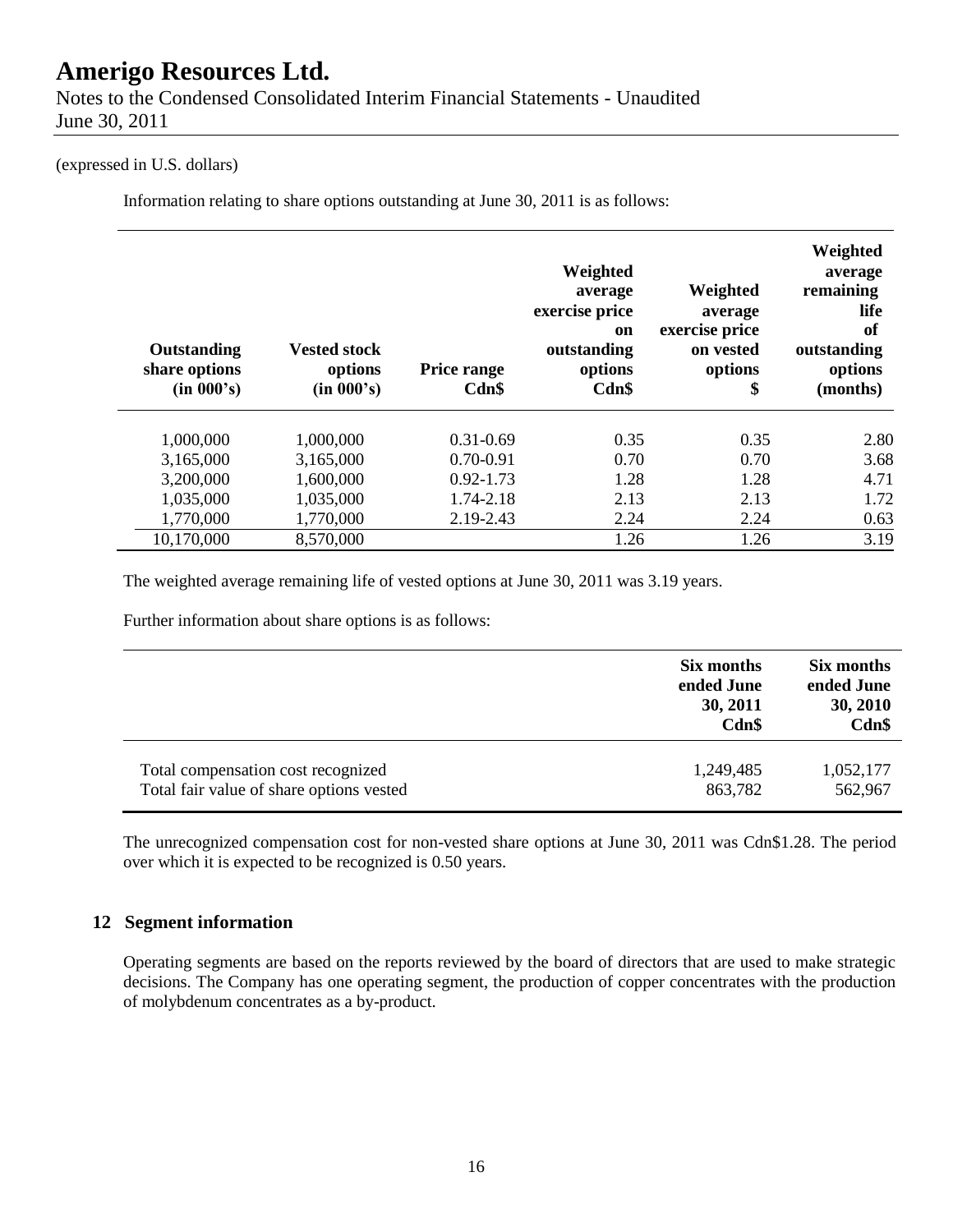Notes to the Condensed Consolidated Interim Financial Statements - Unaudited June 30, 2011

#### (expressed in U.S. dollars)

Information relating to share options outstanding at June 30, 2011 is as follows:

| Outstanding<br>share options<br>(in 000's) | <b>Vested stock</b><br>options<br>(in 000's) | Price range<br>Cdn\$ | Weighted<br>average<br>exercise price<br>on<br>outstanding<br>options<br>Cdn\$ | Weighted<br>average<br>exercise price<br>on vested<br>options<br>\$ | Weighted<br>average<br>remaining<br>life<br>of<br>outstanding<br>options<br>(months) |
|--------------------------------------------|----------------------------------------------|----------------------|--------------------------------------------------------------------------------|---------------------------------------------------------------------|--------------------------------------------------------------------------------------|
| 1,000,000                                  | 1,000,000                                    | $0.31 - 0.69$        | 0.35                                                                           | 0.35                                                                | 2.80                                                                                 |
| 3,165,000                                  | 3,165,000                                    | $0.70 - 0.91$        | 0.70                                                                           | 0.70                                                                | 3.68                                                                                 |
| 3,200,000                                  | 1,600,000                                    | $0.92 - 1.73$        | 1.28                                                                           | 1.28                                                                | 4.71                                                                                 |
| 1,035,000                                  | 1,035,000                                    | 1.74-2.18            | 2.13                                                                           | 2.13                                                                | 1.72                                                                                 |
| 1,770,000                                  | 1,770,000                                    | 2.19-2.43            | 2.24                                                                           | 2.24                                                                | 0.63                                                                                 |
| 10,170,000                                 | 8,570,000                                    |                      | 1.26                                                                           | 1.26                                                                | 3.19                                                                                 |

The weighted average remaining life of vested options at June 30, 2011 was 3.19 years.

Further information about share options is as follows:

|                                          | Six months<br>ended June<br>30, 2011<br>Cdn\$ | Six months<br>ended June<br>30, 2010<br>Cdn\$ |
|------------------------------------------|-----------------------------------------------|-----------------------------------------------|
| Total compensation cost recognized       | 1,249,485                                     | 1,052,177                                     |
| Total fair value of share options vested | 863,782                                       | 562,967                                       |

The unrecognized compensation cost for non-vested share options at June 30, 2011 was Cdn\$1.28. The period over which it is expected to be recognized is 0.50 years.

#### **12 Segment information**

Operating segments are based on the reports reviewed by the board of directors that are used to make strategic decisions. The Company has one operating segment, the production of copper concentrates with the production of molybdenum concentrates as a by-product.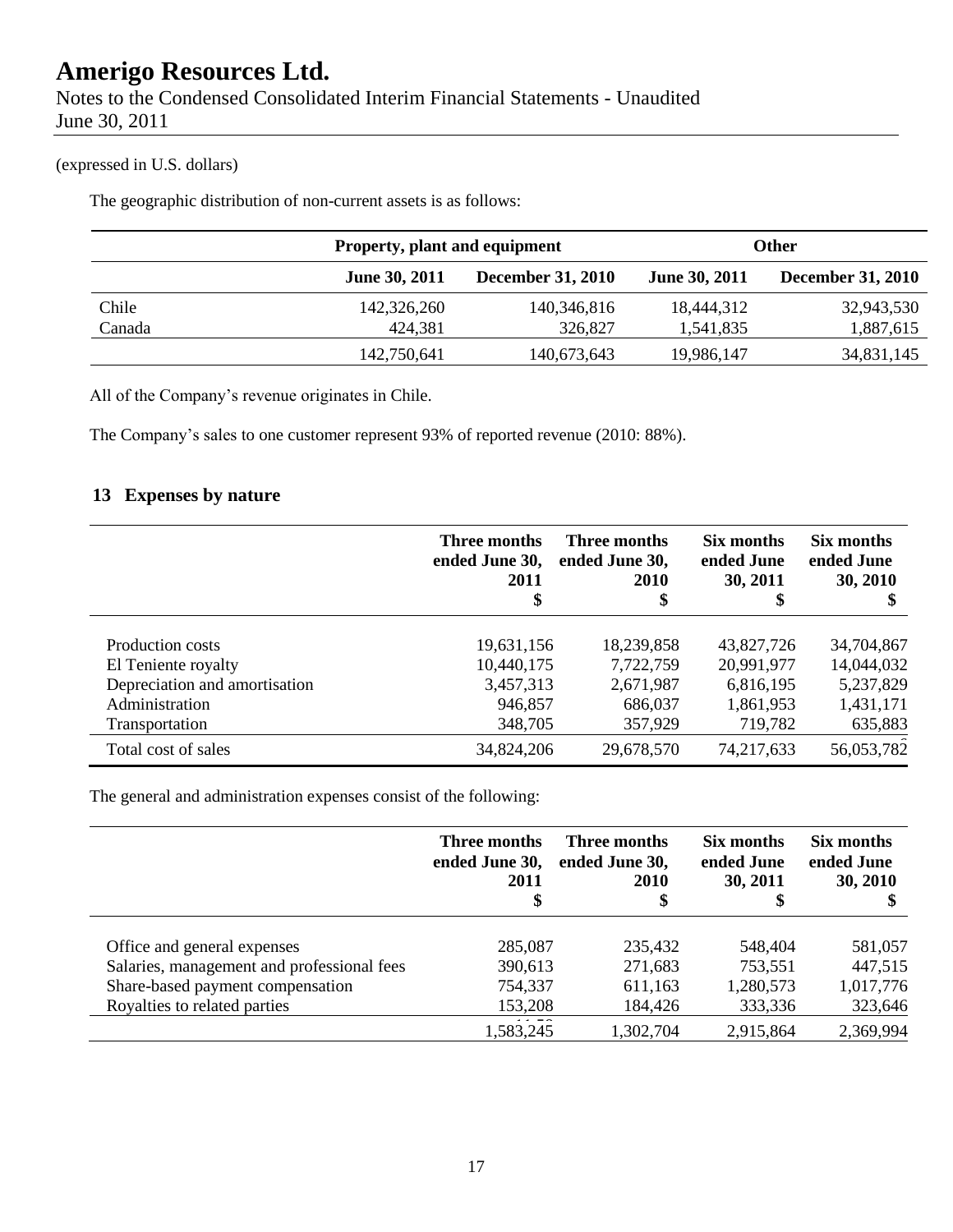Notes to the Condensed Consolidated Interim Financial Statements - Unaudited June 30, 2011

### (expressed in U.S. dollars)

The geographic distribution of non-current assets is as follows:

|        |                      | Property, plant and equipment |                      | <b>Other</b>             |
|--------|----------------------|-------------------------------|----------------------|--------------------------|
|        | <b>June 30, 2011</b> | <b>December 31, 2010</b>      | <b>June 30, 2011</b> | <b>December 31, 2010</b> |
| Chile  | 142,326,260          | 140,346,816                   | 18,444,312           | 32,943,530               |
| Canada | 424,381              | 326,827                       | 1,541,835            | 1,887,615                |
|        | 142,750,641          | 140,673,643                   | 19,986,147           | 34,831,145               |

All of the Company's revenue originates in Chile.

The Company's sales to one customer represent 93% of reported revenue (2010: 88%).

### **13 Expenses by nature**

|                               | Three months<br>ended June 30,<br>2011<br>\$ | Three months<br>ended June 30,<br>2010<br>\$ | Six months<br>ended June<br>30, 2011<br>\$ | Six months<br>ended June<br>30, 2010 |
|-------------------------------|----------------------------------------------|----------------------------------------------|--------------------------------------------|--------------------------------------|
| Production costs              | 19,631,156                                   | 18,239,858                                   | 43,827,726                                 | 34,704,867                           |
| El Teniente royalty           | 10,440,175                                   | 7,722,759                                    | 20,991,977                                 | 14,044,032                           |
| Depreciation and amortisation | 3,457,313                                    | 2,671,987                                    | 6,816,195                                  | 5,237,829                            |
| Administration                | 946,857                                      | 686,037                                      | 1,861,953                                  | 1,431,171                            |
| Transportation                | 348,705                                      | 357,929                                      | 719,782                                    | 635,883                              |
| Total cost of sales           | 34,824,206                                   | 29,678,570                                   | 74,217,633                                 | 56,053,782                           |

The general and administration expenses consist of the following:

|                                            | Three months<br>ended June 30,<br>2011<br>\$ | Three months<br>ended June 30,<br><b>2010</b><br>\$ | Six months<br>ended June<br>30, 2011 | Six months<br>ended June<br>30, 2010 |
|--------------------------------------------|----------------------------------------------|-----------------------------------------------------|--------------------------------------|--------------------------------------|
| Office and general expenses                | 285,087                                      | 235,432                                             | 548,404                              | 581,057                              |
| Salaries, management and professional fees | 390,613                                      | 271,683                                             | 753,551                              | 447,515                              |
| Share-based payment compensation           | 754,337                                      | 611,163                                             | 1,280,573                            | 1,017,776                            |
| Royalties to related parties               | 153,208                                      | 184,426                                             | 333,336                              | 323,646                              |
|                                            | 1,583,245                                    | 1,302,704                                           | 2,915,864                            | 2,369,994                            |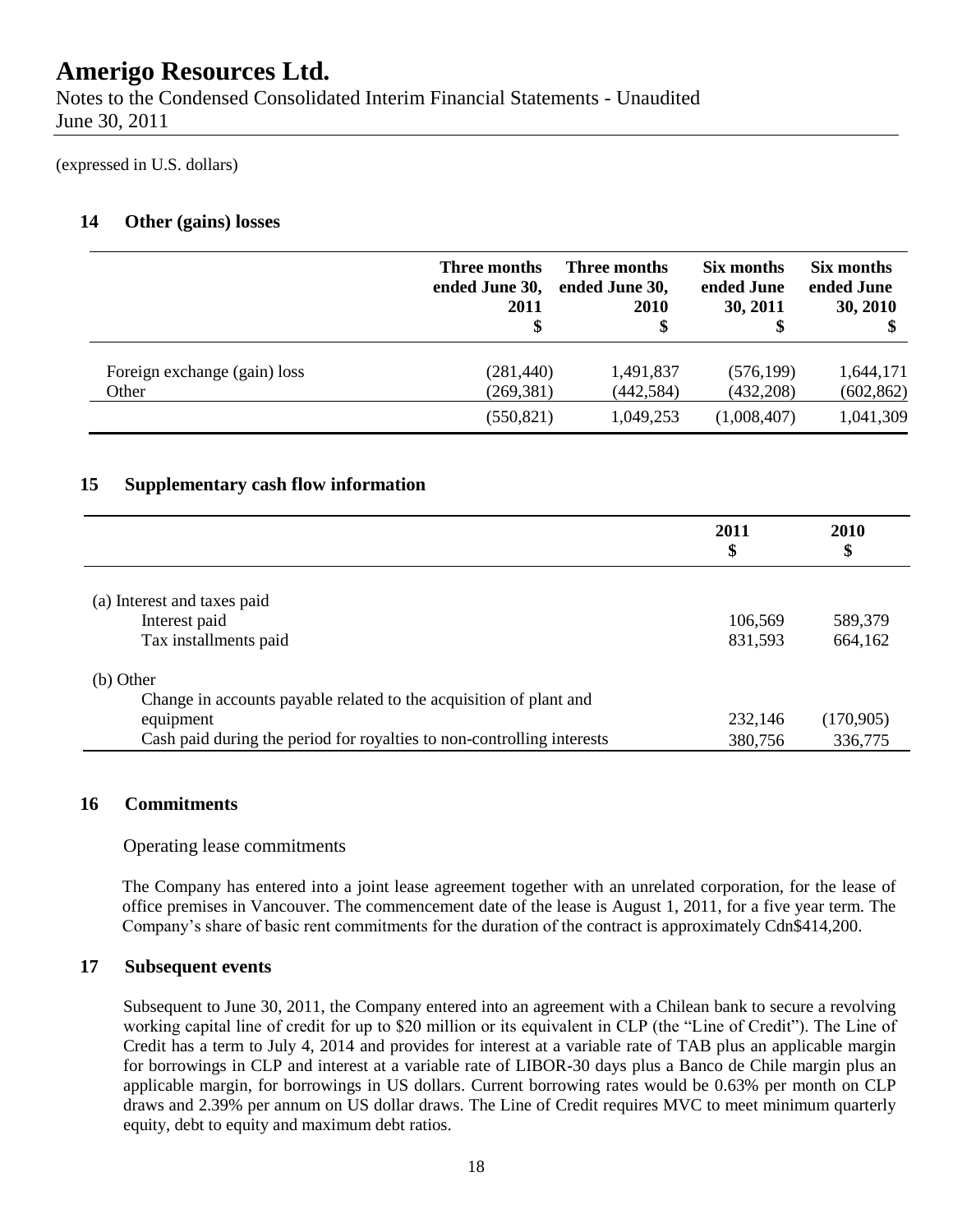Notes to the Condensed Consolidated Interim Financial Statements - Unaudited June 30, 2011

(expressed in U.S. dollars)

### **14 Other (gains) losses**

|                              | Three months<br>ended June 30,<br>2011 | Three months<br>ended June 30,<br><b>2010</b> | Six months<br>ended June<br>30, 2011 | Six months<br>ended June<br>30, 2010 |
|------------------------------|----------------------------------------|-----------------------------------------------|--------------------------------------|--------------------------------------|
| Foreign exchange (gain) loss | (281, 440)                             | 1,491,837                                     | (576, 199)                           | 1,644,171                            |
| Other                        | (269, 381)                             | (442, 584)                                    | (432, 208)                           | (602, 862)                           |
|                              | (550, 821)                             | 1,049,253                                     | (1,008,407)                          | 1,041,309                            |

### **15 Supplementary cash flow information**

|                                                                        | 2011<br>\$ | <b>2010</b><br>\$ |
|------------------------------------------------------------------------|------------|-------------------|
| (a) Interest and taxes paid                                            |            |                   |
| Interest paid                                                          | 106,569    | 589,379           |
| Tax installments paid                                                  | 831,593    | 664,162           |
| $(b)$ Other                                                            |            |                   |
| Change in accounts payable related to the acquisition of plant and     |            |                   |
| equipment                                                              | 232,146    | (170,905)         |
| Cash paid during the period for royalties to non-controlling interests | 380,756    | 336,775           |

#### **16 Commitments**

#### Operating lease commitments

The Company has entered into a joint lease agreement together with an unrelated corporation, for the lease of office premises in Vancouver. The commencement date of the lease is August 1, 2011, for a five year term. The Company's share of basic rent commitments for the duration of the contract is approximately Cdn\$414,200.

#### **17 Subsequent events**

Subsequent to June 30, 2011, the Company entered into an agreement with a Chilean bank to secure a revolving working capital line of credit for up to \$20 million or its equivalent in CLP (the "Line of Credit"). The Line of Credit has a term to July 4, 2014 and provides for interest at a variable rate of TAB plus an applicable margin for borrowings in CLP and interest at a variable rate of LIBOR-30 days plus a Banco de Chile margin plus an applicable margin, for borrowings in US dollars. Current borrowing rates would be 0.63% per month on CLP draws and 2.39% per annum on US dollar draws. The Line of Credit requires MVC to meet minimum quarterly equity, debt to equity and maximum debt ratios.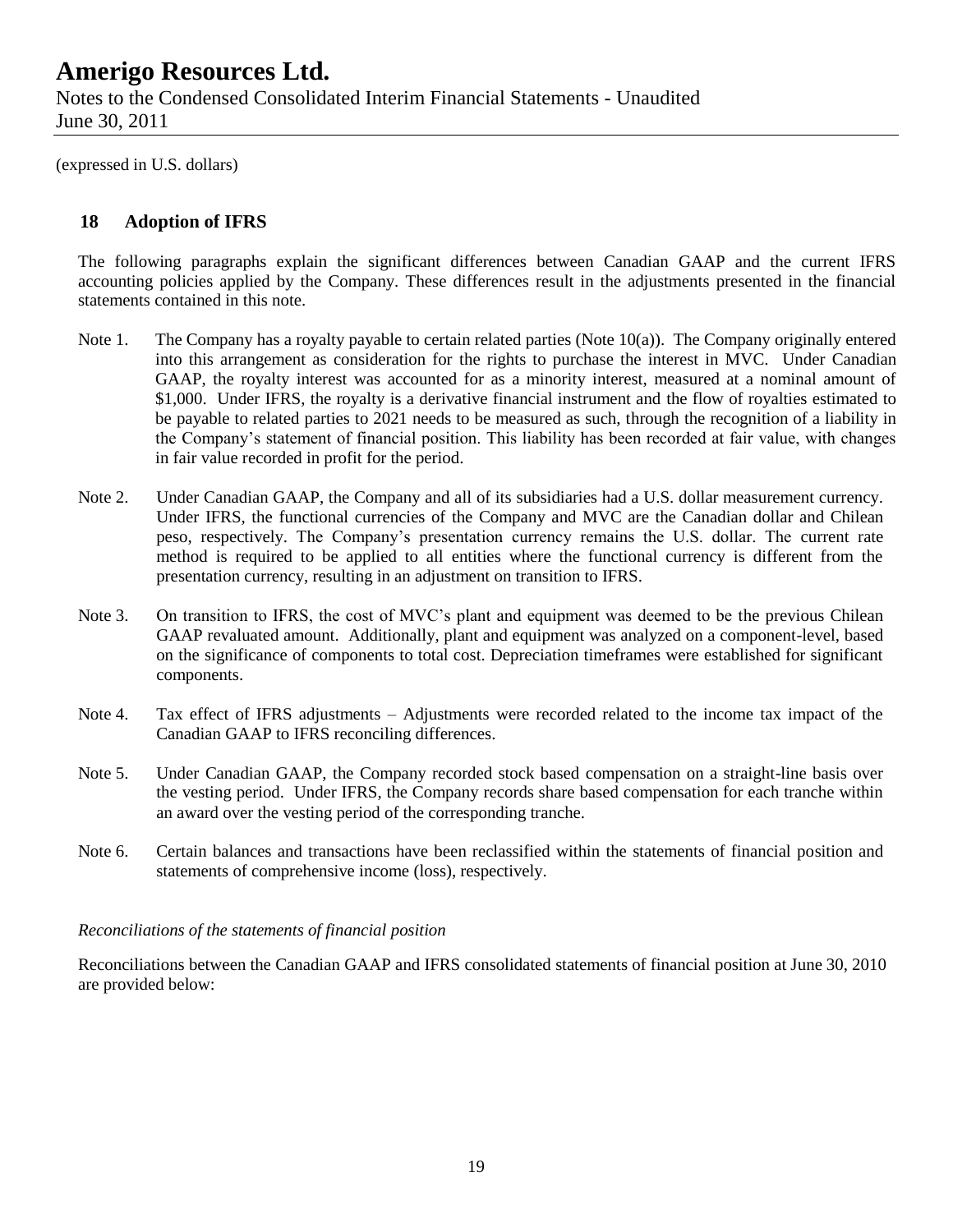### **Amerigo Resources Ltd.** Notes to the Condensed Consolidated Interim Financial Statements - Unaudited June 30, 2011

(expressed in U.S. dollars)

### **18 Adoption of IFRS**

The following paragraphs explain the significant differences between Canadian GAAP and the current IFRS accounting policies applied by the Company. These differences result in the adjustments presented in the financial statements contained in this note.

- Note 1. The Company has a royalty payable to certain related parties (Note 10(a)). The Company originally entered into this arrangement as consideration for the rights to purchase the interest in MVC. Under Canadian GAAP, the royalty interest was accounted for as a minority interest, measured at a nominal amount of \$1,000. Under IFRS, the royalty is a derivative financial instrument and the flow of royalties estimated to be payable to related parties to 2021 needs to be measured as such, through the recognition of a liability in the Company's statement of financial position. This liability has been recorded at fair value, with changes in fair value recorded in profit for the period.
- Note 2. Under Canadian GAAP, the Company and all of its subsidiaries had a U.S. dollar measurement currency. Under IFRS, the functional currencies of the Company and MVC are the Canadian dollar and Chilean peso, respectively. The Company's presentation currency remains the U.S. dollar. The current rate method is required to be applied to all entities where the functional currency is different from the presentation currency, resulting in an adjustment on transition to IFRS.
- Note 3. On transition to IFRS, the cost of MVC's plant and equipment was deemed to be the previous Chilean GAAP revaluated amount. Additionally, plant and equipment was analyzed on a component-level, based on the significance of components to total cost. Depreciation timeframes were established for significant components.
- Note 4. Tax effect of IFRS adjustments Adjustments were recorded related to the income tax impact of the Canadian GAAP to IFRS reconciling differences.
- Note 5. Under Canadian GAAP, the Company recorded stock based compensation on a straight-line basis over the vesting period. Under IFRS, the Company records share based compensation for each tranche within an award over the vesting period of the corresponding tranche.
- Note 6. Certain balances and transactions have been reclassified within the statements of financial position and statements of comprehensive income (loss), respectively.

#### *Reconciliations of the statements of financial position*

Reconciliations between the Canadian GAAP and IFRS consolidated statements of financial position at June 30, 2010 are provided below: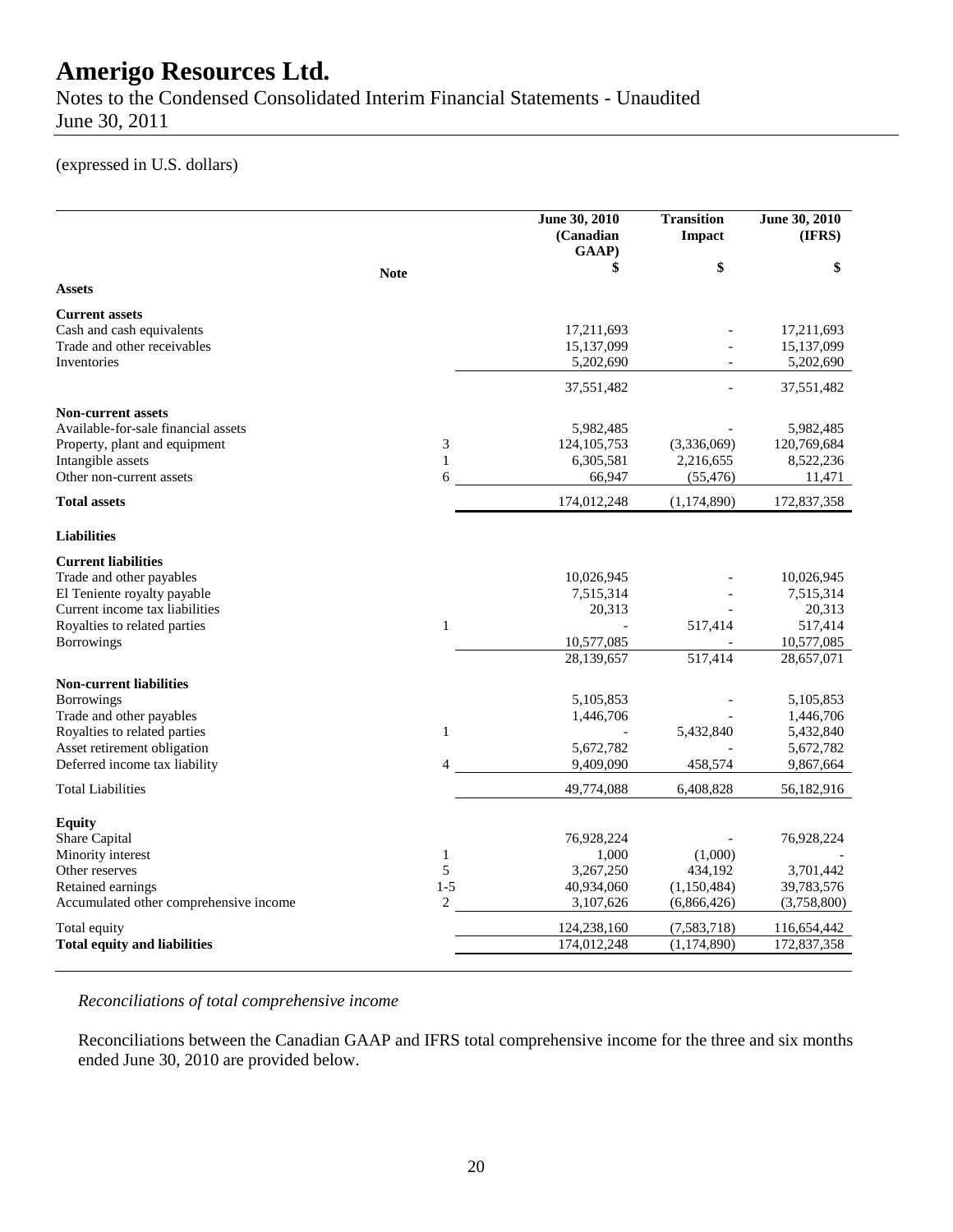Notes to the Condensed Consolidated Interim Financial Statements - Unaudited June 30, 2011

### (expressed in U.S. dollars)

|                                        |                | June 30, 2010<br>(Canadian<br>GAAP) | <b>Transition</b><br><b>Impact</b> | June 30, 2010<br>(IFRS) |
|----------------------------------------|----------------|-------------------------------------|------------------------------------|-------------------------|
|                                        | <b>Note</b>    | \$                                  | \$                                 | \$                      |
| <b>Assets</b>                          |                |                                     |                                    |                         |
| <b>Current assets</b>                  |                |                                     |                                    |                         |
| Cash and cash equivalents              |                | 17,211,693                          |                                    | 17,211,693              |
| Trade and other receivables            |                | 15,137,099                          |                                    | 15,137,099              |
| Inventories                            |                | 5,202,690                           | $\overline{a}$                     | 5,202,690               |
|                                        |                | 37,551,482                          |                                    | 37,551,482              |
| <b>Non-current assets</b>              |                |                                     |                                    |                         |
| Available-for-sale financial assets    |                | 5,982,485                           |                                    | 5,982,485               |
| Property, plant and equipment          | 3              | 124, 105, 753                       | (3,336,069)                        | 120,769,684             |
| Intangible assets                      | $\mathbf{1}$   | 6,305,581                           | 2,216,655                          | 8,522,236               |
| Other non-current assets               | 6              | 66,947                              | (55, 476)                          | 11,471                  |
| <b>Total assets</b>                    |                | 174,012,248                         | (1, 174, 890)                      | 172,837,358             |
| <b>Liabilities</b>                     |                |                                     |                                    |                         |
| <b>Current liabilities</b>             |                |                                     |                                    |                         |
| Trade and other payables               |                | 10,026,945                          |                                    | 10,026,945              |
| El Teniente royalty payable            |                | 7,515,314                           |                                    | 7,515,314               |
| Current income tax liabilities         |                | 20,313                              |                                    | 20,313                  |
| Royalties to related parties           | $\mathbf{1}$   |                                     | 517,414                            | 517,414                 |
| <b>Borrowings</b>                      |                | 10,577,085                          |                                    | 10,577,085              |
|                                        |                | 28,139,657                          | 517,414                            | 28,657,071              |
| <b>Non-current liabilities</b>         |                |                                     |                                    |                         |
| <b>Borrowings</b>                      |                | 5,105,853                           |                                    | 5,105,853               |
| Trade and other payables               |                | 1,446,706                           |                                    | 1,446,706               |
| Royalties to related parties           | $\mathbf{1}$   |                                     | 5,432,840                          | 5,432,840               |
| Asset retirement obligation            |                | 5,672,782                           |                                    | 5,672,782               |
| Deferred income tax liability          | 4              | 9,409,090                           | 458,574                            | 9,867,664               |
| <b>Total Liabilities</b>               |                | 49,774,088                          | 6,408,828                          | 56,182,916              |
| <b>Equity</b>                          |                |                                     |                                    |                         |
| <b>Share Capital</b>                   |                | 76,928,224                          |                                    | 76,928,224              |
| Minority interest                      | $\mathbf{1}$   | 1,000                               | (1,000)                            |                         |
| Other reserves                         | 5              | 3,267,250                           | 434,192                            | 3,701,442               |
| Retained earnings                      | $1 - 5$        | 40,934,060                          | (1,150,484)                        | 39,783,576              |
| Accumulated other comprehensive income | $\overline{2}$ | 3,107,626                           | (6,866,426)                        | (3,758,800)             |
| Total equity                           |                | 124,238,160                         | (7, 583, 718)                      | 116,654,442             |
| <b>Total equity and liabilities</b>    |                | 174,012,248                         | (1, 174, 890)                      | 172,837,358             |
|                                        |                |                                     |                                    |                         |

### *Reconciliations of total comprehensive income*

Reconciliations between the Canadian GAAP and IFRS total comprehensive income for the three and six months ended June 30, 2010 are provided below.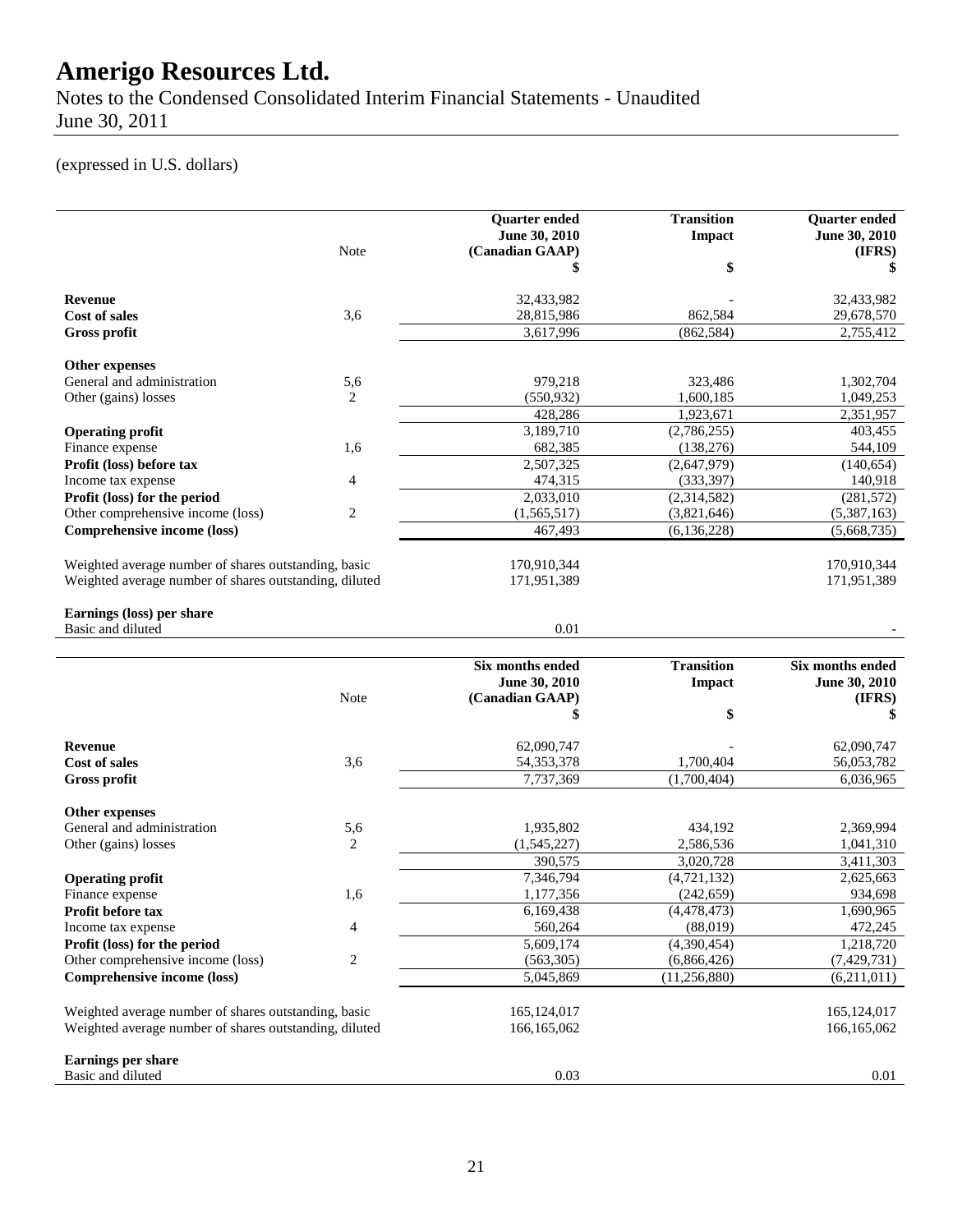Notes to the Condensed Consolidated Interim Financial Statements - Unaudited June 30, 2011

### (expressed in U.S. dollars)

|                                                                                                                |                          | <b>Quarter ended</b><br>June 30, 2010 | <b>Transition</b><br>Impact | <b>Quarter</b> ended<br>June 30, 2010 |
|----------------------------------------------------------------------------------------------------------------|--------------------------|---------------------------------------|-----------------------------|---------------------------------------|
|                                                                                                                | Note                     | (Canadian GAAP)                       | \$                          | (IFRS)<br>S                           |
| <b>Revenue</b>                                                                                                 |                          | 32,433,982                            |                             | 32,433,982                            |
| <b>Cost of sales</b>                                                                                           | 3,6                      | 28,815,986                            | 862,584                     | 29,678,570                            |
| <b>Gross profit</b>                                                                                            |                          | 3,617,996                             | (862, 584)                  | 2,755,412                             |
| Other expenses                                                                                                 |                          |                                       |                             |                                       |
| General and administration                                                                                     | 5,6                      | 979,218                               | 323,486                     | 1.302.704                             |
| Other (gains) losses                                                                                           | 2                        | (550, 932)                            | 1,600,185                   | 1,049,253                             |
|                                                                                                                |                          | 428,286                               | 1,923,671                   | 2,351,957                             |
| <b>Operating profit</b>                                                                                        |                          | 3,189,710                             | (2,786,255)                 | 403,455                               |
| Finance expense                                                                                                | 1,6                      | 682,385                               | (138, 276)                  | 544,109                               |
| Profit (loss) before tax                                                                                       |                          | 2,507,325                             | (2,647,979)                 | (140, 654)                            |
| Income tax expense                                                                                             | 4                        | 474,315                               | (333, 397)                  | 140,918                               |
| Profit (loss) for the period                                                                                   |                          | 2,033,010                             | (2,314,582)                 | (281, 572)                            |
| Other comprehensive income (loss)                                                                              | 2                        | (1,565,517)                           | (3,821,646)                 | (5,387,163)                           |
| Comprehensive income (loss)                                                                                    |                          | 467,493                               | (6, 136, 228)               | (5,668,735)                           |
|                                                                                                                |                          |                                       |                             |                                       |
| Weighted average number of shares outstanding, basic                                                           |                          | 170,910,344                           |                             | 170,910,344                           |
| Weighted average number of shares outstanding, diluted                                                         |                          | 171,951,389                           |                             | 171,951,389                           |
| Earnings (loss) per share                                                                                      |                          |                                       |                             |                                       |
| Basic and diluted                                                                                              |                          | 0.01                                  |                             |                                       |
|                                                                                                                |                          | Six months ended                      | <b>Transition</b>           | Six months ended                      |
|                                                                                                                |                          | June 30, 2010                         | <b>Impact</b>               | June 30, 2010                         |
|                                                                                                                | Note                     | (Canadian GAAP)                       |                             | (IFRS)                                |
|                                                                                                                |                          | \$                                    | \$                          | S                                     |
| <b>Revenue</b>                                                                                                 |                          | 62,090,747                            |                             | 62,090,747                            |
| Cost of sales                                                                                                  | 3,6                      | 54, 353, 378                          | 1,700,404                   | 56,053,782                            |
| <b>Gross profit</b>                                                                                            |                          | 7,737,369                             | (1,700,404)                 | 6,036,965                             |
| <b>Other expenses</b>                                                                                          |                          |                                       |                             |                                       |
| General and administration                                                                                     | 5,6                      | 1,935,802                             | 434,192                     | 2,369,994                             |
| Other (gains) losses                                                                                           | 2                        | (1, 545, 227)                         | 2,586,536                   | 1,041,310                             |
|                                                                                                                |                          | 390,575                               | 3,020,728                   | 3,411,303                             |
| <b>Operating profit</b>                                                                                        |                          | 7,346,794                             | (4, 721, 132)               | 2,625,663                             |
| Finance expense                                                                                                | 1,6                      | 1.177.356                             | (242.659)                   | 934.698                               |
| Profit before tax                                                                                              |                          | 6,169,438                             | (4,478,473)                 | 1,690,965                             |
| Income tax expense                                                                                             | $\overline{\mathcal{A}}$ | 560,264                               | (88,019)                    | 472,245                               |
| Profit (loss) for the period                                                                                   |                          | 5,609,174                             | (4,390,454)                 | 1,218,720                             |
| Other comprehensive income (loss)                                                                              | $\sqrt{2}$               | (563, 305)                            | (6,866,426)                 | (7,429,731)                           |
| Comprehensive income (loss)                                                                                    |                          | 5,045,869                             | (11, 256, 880)              | (6,211,011)                           |
|                                                                                                                |                          |                                       |                             |                                       |
| Weighted average number of shares outstanding, basic<br>Weighted average number of shares outstanding, diluted |                          | 165, 124, 017<br>166, 165, 062        |                             | 165, 124, 017<br>166, 165, 062        |
|                                                                                                                |                          |                                       |                             |                                       |
|                                                                                                                |                          |                                       |                             |                                       |
| <b>Earnings per share</b><br>Basic and diluted                                                                 |                          | 0.03                                  |                             | 0.01                                  |